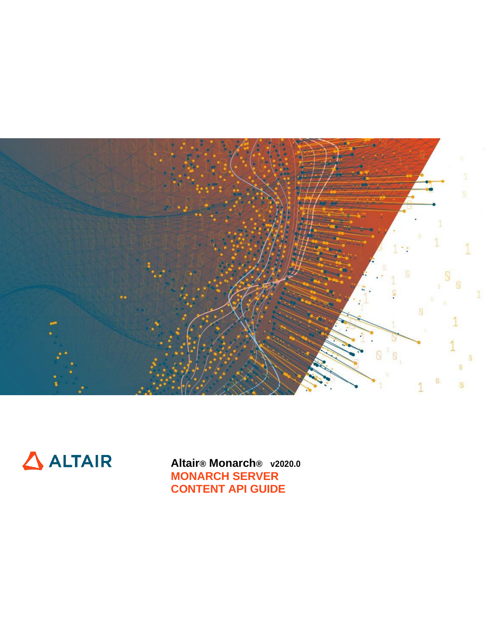



**Altair® Monarch® v2020.0 MONARCH SERVER CONTENT API GUIDE**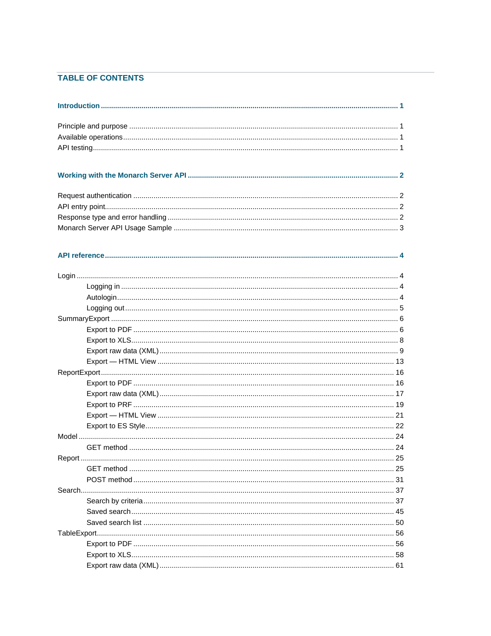## TABLE OF CONTENTS

| Report | .25 |
|--------|-----|
|        |     |
|        |     |
|        |     |
|        |     |
|        |     |
|        |     |
|        |     |
|        |     |
|        |     |
|        |     |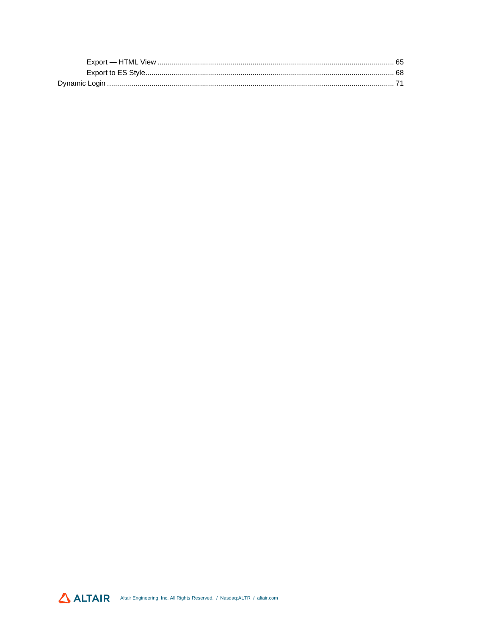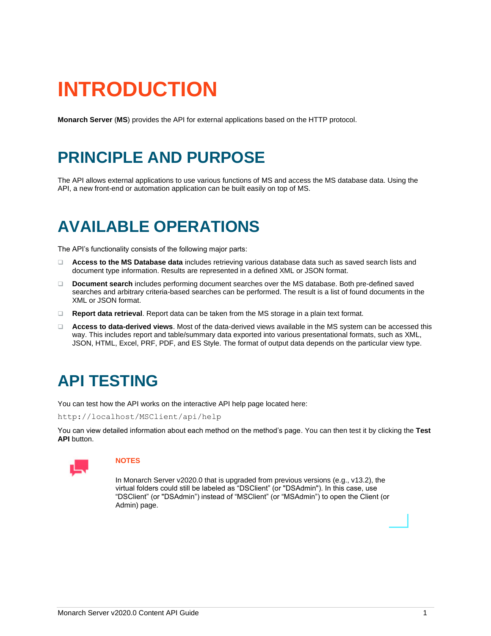# <span id="page-3-0"></span>**INTRODUCTION**

<span id="page-3-1"></span>**Monarch Server** (**MS**) provides the API for external applications based on the HTTP protocol.

## **PRINCIPLE AND PURPOSE**

The API allows external applications to use various functions of MS and access the MS database data. Using the API, a new front-end or automation application can be built easily on top of MS.

## <span id="page-3-2"></span>**AVAILABLE OPERATIONS**

The API's functionality consists of the following major parts:

- ❑ **Access to the MS Database data** includes retrieving various database data such as saved search lists and document type information. Results are represented in a defined XML or JSON format.
- ❑ **Document search** includes performing document searches over the MS database. Both pre-defined saved searches and arbitrary criteria-based searches can be performed. The result is a list of found documents in the XML or JSON format.
- ❑ **Report data retrieval**. Report data can be taken from the MS storage in a plain text format.
- ❑ **Access to data-derived views**. Most of the data-derived views available in the MS system can be accessed this way. This includes report and table/summary data exported into various presentational formats, such as XML, JSON, HTML, Excel, PRF, PDF, and ES Style. The format of output data depends on the particular view type.

## <span id="page-3-3"></span>**API TESTING**

You can test how the API works on the interactive API help page located here:

http://localhost/MSClient/api/help

You can view detailed information about each method on the method's page. You can then test it by clicking the **Test API** button.



## **NOTES**

In Monarch Server v2020.0 that is upgraded from previous versions (e.g., v13.2), the virtual folders could still be labeled as "DSClient" (or "DSAdmin"). In this case, use "DSClient" (or "DSAdmin") instead of "MSClient" (or "MSAdmin") to open the Client (or Admin) page.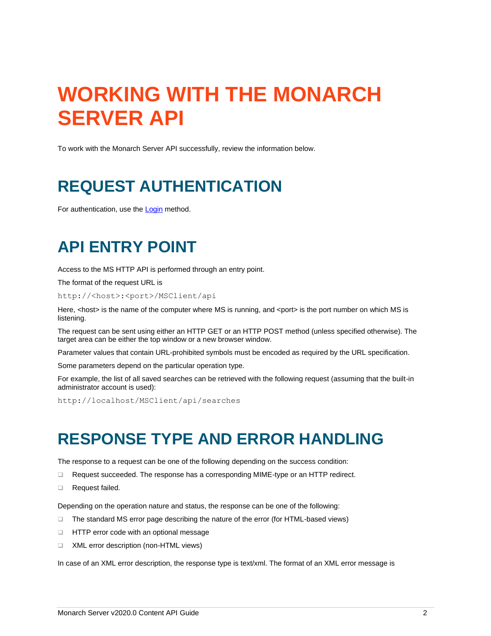# <span id="page-4-0"></span>**WORKING WITH THE MONARCH SERVER API**

<span id="page-4-1"></span>To work with the Monarch Server API successfully, review the information below.

## **REQUEST AUTHENTICATION**

<span id="page-4-2"></span>For authentication, use the [Login](#page-6-1) method.

## **API ENTRY POINT**

Access to the MS HTTP API is performed through an entry point.

The format of the request URL is

http://<host>:<port>/MSClient/api

Here, <host> is the name of the computer where MS is running, and <port> is the port number on which MS is listening.

The request can be sent using either an HTTP GET or an HTTP POST method (unless specified otherwise). The target area can be either the top window or a new browser window.

Parameter values that contain URL-prohibited symbols must be encoded as required by the URL specification.

Some parameters depend on the particular operation type.

For example, the list of all saved searches can be retrieved with the following request (assuming that the built-in administrator account is used):

<span id="page-4-3"></span>http://localhost/MSClient/api/searches

## **RESPONSE TYPE AND ERROR HANDLING**

The response to a request can be one of the following depending on the success condition:

- ❑ Request succeeded. The response has a corresponding MIME-type or an HTTP redirect.
- ❑ Request failed.

Depending on the operation nature and status, the response can be one of the following:

- ❑ The standard MS error page describing the nature of the error (for HTML-based views)
- ❑ HTTP error code with an optional message
- ❑ XML error description (non-HTML views)

In case of an XML error description, the response type is text/xml. The format of an XML error message is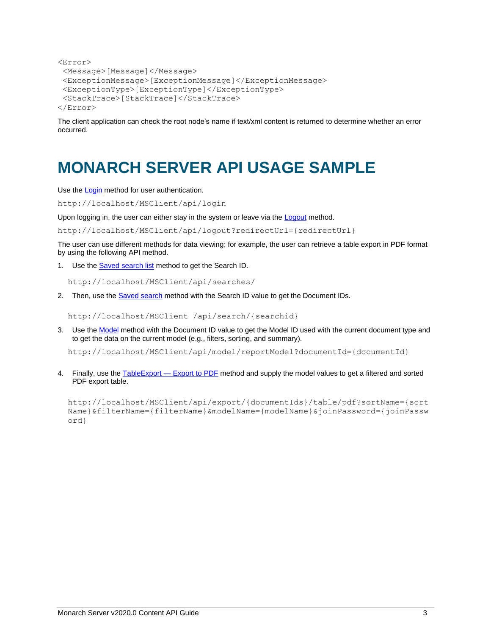```
<Error>
<Message>[Message]</Message>
<ExceptionMessage>[ExceptionMessage]</ExceptionMessage>
<ExceptionType>[ExceptionType]</ExceptionType>
<StackTrace>[StackTrace]</StackTrace>
</Error>
```
The client application can check the root node's name if text/xml content is returned to determine whether an error occurred.

## <span id="page-5-0"></span>**MONARCH SERVER API USAGE SAMPLE**

Use th[e Login](#page-6-1) method for user authentication.

http://localhost/MSClient/api/login

Upon logging in, the user can either stay in the system or leave via th[e Logout](#page-7-0) method.

http://localhost/MSClient/api/logout?redirectUrl={redirectUrl}

The user can use different methods for data viewing; for example, the user can retrieve a table export in PDF format by using the following API method.

1. Use the **Saved search list** method to get the Search ID.

http://localhost/MSClient/api/searches/

2. Then, use th[e Saved search](#page-47-0) method with the Search ID value to get the Document IDs.

http://localhost/MSClient /api/search/{searchid}

3. Use th[e Model](#page-26-0) method with the Document ID value to get the Model ID used with the current document type and to get the data on the current model (e.g., filters, sorting, and summary).

http://localhost/MSClient/api/model/reportModel?documentId={documentId}

4. Finally, use the [TableExport —](#page-58-1) Export to PDF method and supply the model values to get a filtered and sorted PDF export table.

http://localhost/MSClient/api/export/{documentIds}/table/pdf?sortName={sort Name}&filterName={filterName}&modelName={modelName}&joinPassword={joinPassw ord}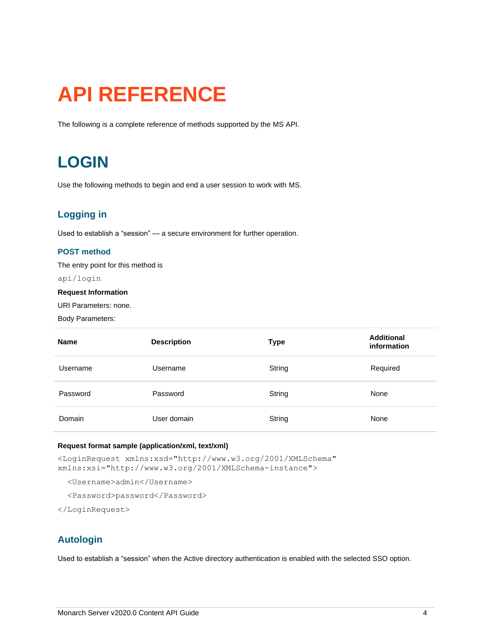# <span id="page-6-0"></span>**API REFERENCE**

<span id="page-6-1"></span>The following is a complete reference of methods supported by the MS API.

## **LOGIN**

<span id="page-6-2"></span>Use the following methods to begin and end a user session to work with MS.

## **Logging in**

Used to establish a "session" — a secure environment for further operation.

## **POST method**

The entry point for this method is

api/login

## **Request Information**

URI Parameters: none.

Body Parameters:

| <b>Name</b> | <b>Description</b> | <b>Type</b> | <b>Additional</b><br>information |
|-------------|--------------------|-------------|----------------------------------|
| Username    | Username           | String      | Required                         |
| Password    | Password           | String      | None                             |
| Domain      | User domain        | String      | None                             |

## **Request format sample (application/xml, text/xml)**

<LoginRequest xmlns:xsd="http://www.w3.org/2001/XMLSchema" xmlns:xsi="http://www.w3.org/2001/XMLSchema-instance">

<Username>admin</Username>

<Password>password</Password>

<span id="page-6-3"></span></LoginRequest>

## **Autologin**

Used to establish a "session" when the Active directory authentication is enabled with the selected SSO option.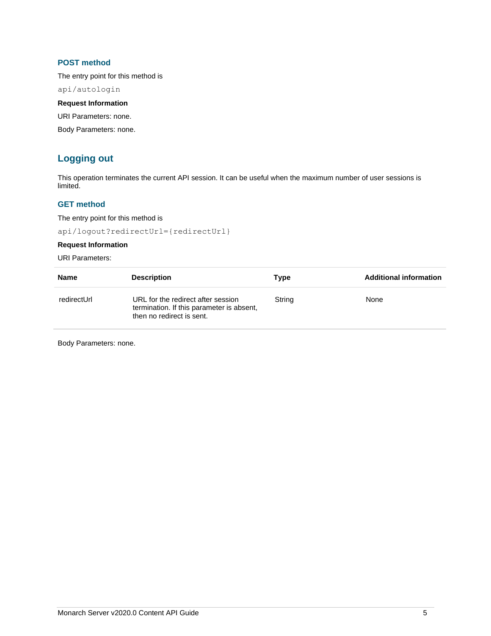## **POST method**

The entry point for this method is

api/autologin

## **Request Information**

URI Parameters: none.

<span id="page-7-0"></span>Body Parameters: none.

## **Logging out**

This operation terminates the current API session. It can be useful when the maximum number of user sessions is limited.

## **GET method**

The entry point for this method is

api/logout?redirectUrl={redirectUrl}

## **Request Information**

URI Parameters:

| <b>Name</b> | <b>Description</b>                                                                                           | Type   | <b>Additional information</b> |
|-------------|--------------------------------------------------------------------------------------------------------------|--------|-------------------------------|
| redirectUrl | URL for the redirect after session<br>termination. If this parameter is absent,<br>then no redirect is sent. | String | None                          |

Body Parameters: none.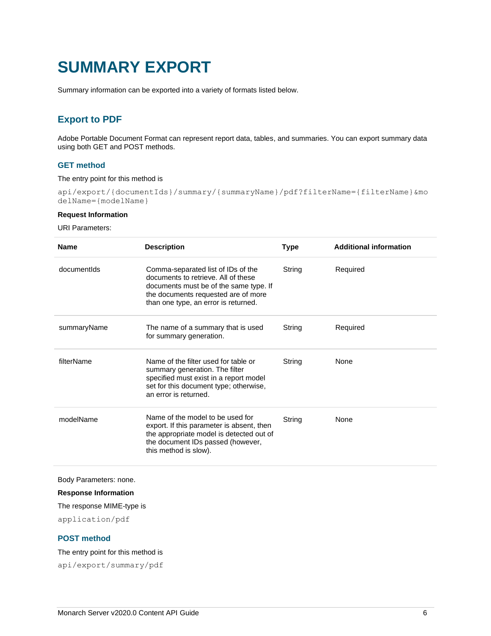## <span id="page-8-0"></span>**SUMMARY EXPORT**

<span id="page-8-1"></span>Summary information can be exported into a variety of formats listed below.

## **Export to PDF**

Adobe Portable Document Format can represent report data, tables, and summaries. You can export summary data using both GET and POST methods.

## **GET method**

The entry point for this method is

api/export/{documentIds}/summary/{summaryName}/pdf?filterName={filterName}&mo delName={modelName}

### **Request Information**

URI Parameters:

| <b>Name</b> | <b>Description</b>                                                                                                                                                                                 | <b>Type</b> | <b>Additional information</b> |
|-------------|----------------------------------------------------------------------------------------------------------------------------------------------------------------------------------------------------|-------------|-------------------------------|
| documentids | Comma-separated list of IDs of the<br>documents to retrieve. All of these<br>documents must be of the same type. If<br>the documents requested are of more<br>than one type, an error is returned. | String      | Required                      |
| summaryName | The name of a summary that is used<br>for summary generation.                                                                                                                                      | String      | Required                      |
| filterName  | Name of the filter used for table or<br>summary generation. The filter<br>specified must exist in a report model<br>set for this document type; otherwise,<br>an error is returned.                | String      | None                          |
| modelName   | Name of the model to be used for<br>export. If this parameter is absent, then<br>the appropriate model is detected out of<br>the document IDs passed (however,<br>this method is slow).            | String      | None                          |

Body Parameters: none.

#### **Response Information**

The response MIME-type is

application/pdf

## **POST method**

The entry point for this method is

api/export/summary/pdf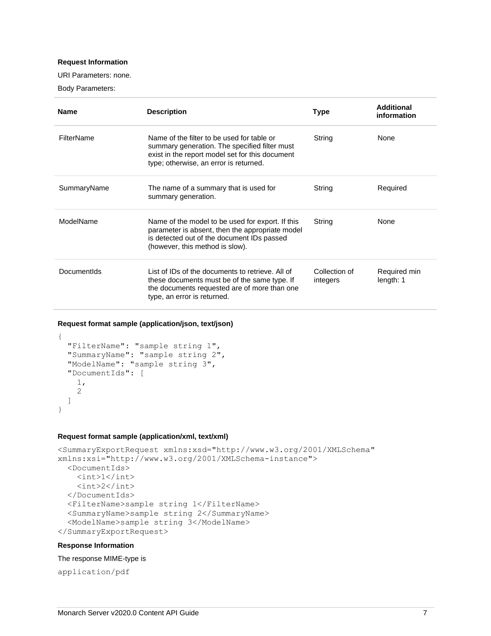## **Request Information**

URI Parameters: none.

Body Parameters:

| <b>Name</b> | <b>Description</b>                                                                                                                                                                       | Type                      | Additional<br>information |
|-------------|------------------------------------------------------------------------------------------------------------------------------------------------------------------------------------------|---------------------------|---------------------------|
| FilterName  | Name of the filter to be used for table or<br>summary generation. The specified filter must<br>exist in the report model set for this document<br>type; otherwise, an error is returned. | String                    | None                      |
| SummaryName | The name of a summary that is used for<br>summary generation.                                                                                                                            | String                    | Required                  |
| ModelName   | Name of the model to be used for export. If this<br>parameter is absent, then the appropriate model<br>is detected out of the document IDs passed<br>(however, this method is slow).     | String                    | <b>None</b>               |
| Documentids | List of IDs of the documents to retrieve. All of<br>these documents must be of the same type. If<br>the documents requested are of more than one<br>type, an error is returned.          | Collection of<br>integers | Required min<br>length: 1 |

#### **Request format sample (application/json, text/json)**

```
{
  "FilterName": "sample string 1",
  "SummaryName": "sample string 2",
  "ModelName": "sample string 3",
  "DocumentIds": [
     1,
     2
  ]
}
```
### **Request format sample (application/xml, text/xml)**

```
<SummaryExportRequest xmlns:xsd="http://www.w3.org/2001/XMLSchema" 
xmlns:xsi="http://www.w3.org/2001/XMLSchema-instance">
   <DocumentIds>
    \langle \text{int}>1 \langle \text{int}\rangle\langle \text{int} \rangle2\langle \text{int} \rangle </DocumentIds>
   <FilterName>sample string 1</FilterName>
   <SummaryName>sample string 2</SummaryName>
   <ModelName>sample string 3</ModelName>
</SummaryExportRequest>
```
### **Response Information**

The response MIME-type is

application/pdf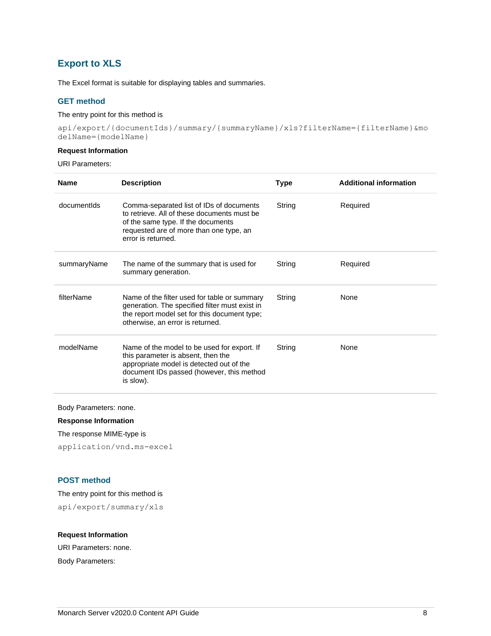## <span id="page-10-0"></span>**Export to XLS**

The Excel format is suitable for displaying tables and summaries.

## **GET method**

## The entry point for this method is

api/export/{documentIds}/summary/{summaryName}/xls?filterName={filterName}&mo delName={modelName}

## **Request Information**

```
URI Parameters:
```

| <b>Name</b> | <b>Description</b>                                                                                                                                                                             | <b>Type</b> | <b>Additional information</b> |
|-------------|------------------------------------------------------------------------------------------------------------------------------------------------------------------------------------------------|-------------|-------------------------------|
| documentids | Comma-separated list of IDs of documents<br>to retrieve. All of these documents must be<br>of the same type. If the documents<br>requested are of more than one type, an<br>error is returned. | String      | Required                      |
| summaryName | The name of the summary that is used for<br>summary generation.                                                                                                                                | String      | Required                      |
| filterName  | Name of the filter used for table or summary<br>generation. The specified filter must exist in<br>the report model set for this document type;<br>otherwise, an error is returned.             | String      | None                          |
| modelName   | Name of the model to be used for export. If<br>this parameter is absent, then the<br>appropriate model is detected out of the<br>document IDs passed (however, this method<br>is slow).        | String      | None                          |

Body Parameters: none.

**Response Information**

The response MIME-type is

application/vnd.ms-excel

## **POST method**

The entry point for this method is

api/export/summary/xls

## **Request Information**

URI Parameters: none. Body Parameters:

Monarch Server v2020.0 Content API Guide 8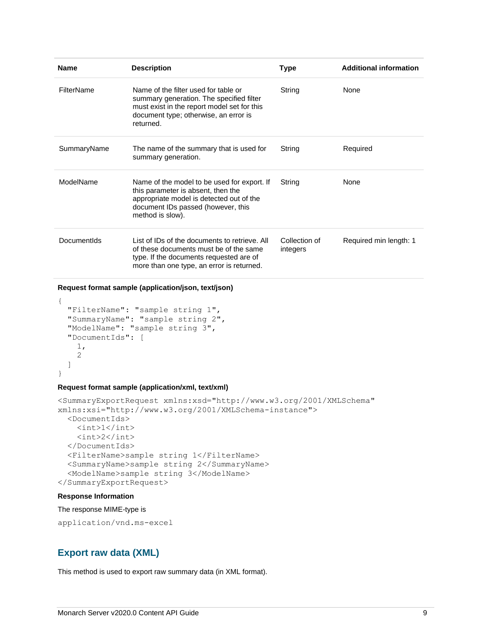| <b>Name</b> | <b>Description</b>                                                                                                                                                                      | Type                      | <b>Additional information</b> |
|-------------|-----------------------------------------------------------------------------------------------------------------------------------------------------------------------------------------|---------------------------|-------------------------------|
| FilterName  | Name of the filter used for table or<br>summary generation. The specified filter<br>must exist in the report model set for this<br>document type; otherwise, an error is<br>returned.   | String                    | None                          |
| SummaryName | The name of the summary that is used for<br>summary generation.                                                                                                                         | String                    | Required                      |
| ModelName   | Name of the model to be used for export. If<br>this parameter is absent, then the<br>appropriate model is detected out of the<br>document IDs passed (however, this<br>method is slow). | String                    | None                          |
| Documentids | List of IDs of the documents to retrieve. All<br>of these documents must be of the same<br>type. If the documents requested are of<br>more than one type, an error is returned.         | Collection of<br>integers | Required min length: 1        |

### **Request format sample (application/json, text/json)**

```
 "FilterName": "sample string 1",
 "SummaryName": "sample string 2",
 "ModelName": "sample string 3",
 "DocumentIds": [
   1,
   2
 ]
```
## **Request format sample (application/xml, text/xml)**

```
<SummaryExportRequest xmlns:xsd="http://www.w3.org/2001/XMLSchema" 
xmlns:xsi="http://www.w3.org/2001/XMLSchema-instance">
   <DocumentIds>
    \langle \text{int}>1 \langle \text{int}\rangle\langle \text{int} \rangle 2 \langle \text{int} \rangle </DocumentIds>
   <FilterName>sample string 1</FilterName>
   <SummaryName>sample string 2</SummaryName>
   <ModelName>sample string 3</ModelName>
</SummaryExportRequest>
```
#### **Response Information**

{

}

## The response MIME-type is

```
application/vnd.ms-excel
```
## **Export raw data (XML)**

This method is used to export raw summary data (in XML format).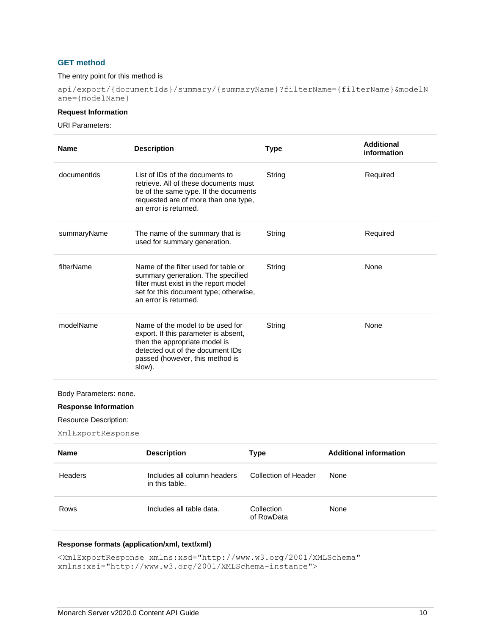## **GET method**

#### The entry point for this method is

api/export/{documentIds}/summary/{summaryName}?filterName={filterName}&modelN ame={modelName}

## **Request Information**

URI Parameters:

| <b>Name</b> | <b>Description</b>                                                                                                                                                                         | <b>Type</b> | <b>Additional</b><br>information |
|-------------|--------------------------------------------------------------------------------------------------------------------------------------------------------------------------------------------|-------------|----------------------------------|
| documentids | List of IDs of the documents to<br>retrieve. All of these documents must<br>be of the same type. If the documents<br>requested are of more than one type,<br>an error is returned.         | String      | Required                         |
| summaryName | The name of the summary that is<br>used for summary generation.                                                                                                                            | String      | Required                         |
| filterName  | Name of the filter used for table or<br>summary generation. The specified<br>filter must exist in the report model<br>set for this document type; otherwise,<br>an error is returned.      | String      | <b>None</b>                      |
| modelName   | Name of the model to be used for<br>export. If this parameter is absent,<br>then the appropriate model is<br>detected out of the document IDs<br>passed (however, this method is<br>slow). | String      | None                             |

Body Parameters: none.

## **Response Information**

Resource Description:

XmlExportResponse

| <b>Name</b> | <b>Description</b>                            | Type                     | <b>Additional information</b> |
|-------------|-----------------------------------------------|--------------------------|-------------------------------|
| Headers     | Includes all column headers<br>in this table. | Collection of Header     | None                          |
| Rows        | Includes all table data.                      | Collection<br>of RowData | None                          |

## **Response formats (application/xml, text/xml)**

<XmlExportResponse xmlns:xsd="http://www.w3.org/2001/XMLSchema" xmlns:xsi="http://www.w3.org/2001/XMLSchema-instance">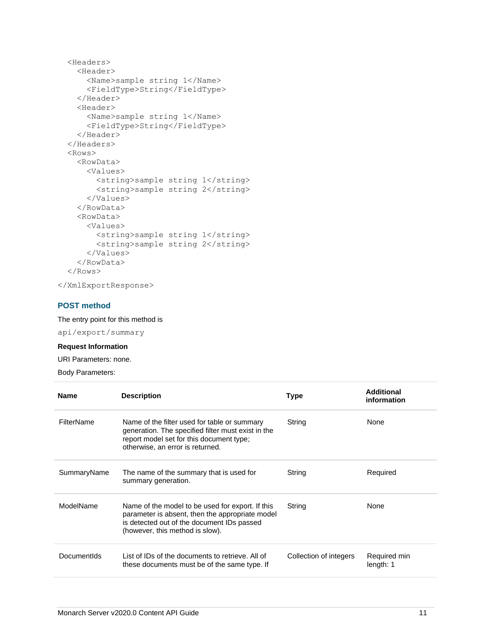```
 <Headers>
   <Header>
     <Name>sample string 1</Name>
     <FieldType>String</FieldType>
   </Header>
   <Header>
     <Name>sample string 1</Name>
     <FieldType>String</FieldType>
   </Header>
 </Headers>
 <Rows>
   <RowData>
     <Values>
       <string>sample string 1</string>
       <string>sample string 2</string>
     </Values>
   </RowData>
   <RowData>
     <Values>
       <string>sample string 1</string>
       <string>sample string 2</string>
     </Values>
   </RowData>
 </Rows>
```
</XmlExportResponse>

## **POST method**

The entry point for this method is

api/export/summary

## **Request Information**

URI Parameters: none.

Body Parameters:

| <b>Name</b>       | <b>Description</b>                                                                                                                                                                   | Type                   | Additional<br>information |
|-------------------|--------------------------------------------------------------------------------------------------------------------------------------------------------------------------------------|------------------------|---------------------------|
| <b>FilterName</b> | Name of the filter used for table or summary<br>generation. The specified filter must exist in the<br>report model set for this document type;<br>otherwise, an error is returned.   | String                 | None                      |
| SummaryName       | The name of the summary that is used for<br>summary generation.                                                                                                                      | String                 | Required                  |
| ModelName         | Name of the model to be used for export. If this<br>parameter is absent, then the appropriate model<br>is detected out of the document IDs passed<br>(however, this method is slow). | String                 | None                      |
| Documentids       | List of IDs of the documents to retrieve. All of<br>these documents must be of the same type. If                                                                                     | Collection of integers | Required min<br>length: 1 |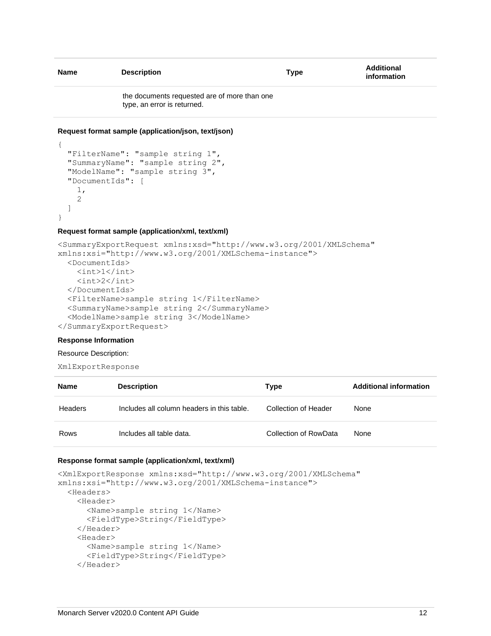| <b>Name</b> | <b>Description</b>                                                          | <b>Type</b> | Additional<br>information |
|-------------|-----------------------------------------------------------------------------|-------------|---------------------------|
|             | the documents requested are of more than one<br>type, an error is returned. |             |                           |

#### **Request format sample (application/json, text/json)**

```
 "FilterName": "sample string 1",
  "SummaryName": "sample string 2",
  "ModelName": "sample string 3",
   "DocumentIds": [
     1,
     2
  ]
}
```
#### **Request format sample (application/xml, text/xml)**

```
<SummaryExportRequest xmlns:xsd="http://www.w3.org/2001/XMLSchema" 
xmlns:xsi="http://www.w3.org/2001/XMLSchema-instance">
   <DocumentIds>
     <int>1</int>
     <int>2</int>
   </DocumentIds>
   <FilterName>sample string 1</FilterName>
   <SummaryName>sample string 2</SummaryName>
   <ModelName>sample string 3</ModelName>
</SummaryExportRequest>
```
#### **Response Information**

{

#### Resource Description:

```
XmlExportResponse
```

| <b>Name</b> | <b>Description</b>                         | <b>Type</b>           | <b>Additional information</b> |
|-------------|--------------------------------------------|-----------------------|-------------------------------|
| Headers     | Includes all column headers in this table. | Collection of Header  | None                          |
| Rows        | Includes all table data.                   | Collection of RowData | None                          |

#### **Response format sample (application/xml, text/xml)**

```
<XmlExportResponse xmlns:xsd="http://www.w3.org/2001/XMLSchema" 
xmlns:xsi="http://www.w3.org/2001/XMLSchema-instance">
   <Headers>
     <Header>
       <Name>sample string 1</Name>
       <FieldType>String</FieldType>
     </Header>
     <Header>
       <Name>sample string 1</Name>
       <FieldType>String</FieldType>
     </Header>
```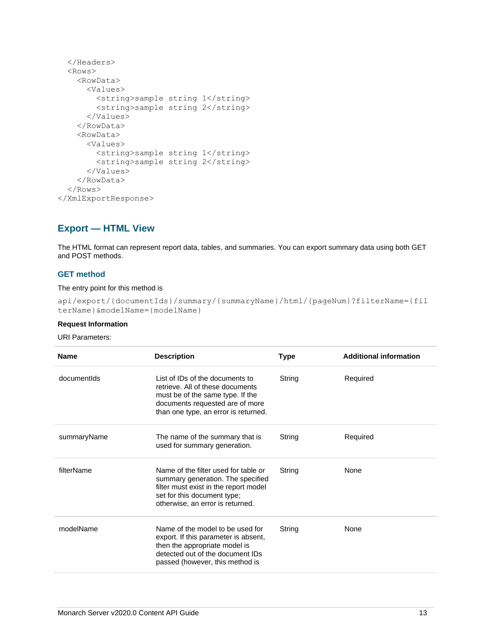```
 </Headers>
   <Rows>
     <RowData>
       <Values>
         <string>sample string 1</string>
         <string>sample string 2</string>
       </Values>
     </RowData>
     <RowData>
       <Values>
         <string>sample string 1</string>
         <string>sample string 2</string>
       </Values>
     </RowData>
   </Rows>
</XmlExportResponse>
```
## <span id="page-15-0"></span>**Export — HTML View**

The HTML format can represent report data, tables, and summaries. You can export summary data using both GET and POST methods.

## **GET method**

The entry point for this method is

```
api/export/{documentIds}/summary/{summaryName}/html/{pageNum}?filterName={fil
terName}&modelName={modelName}
```
### **Request Information**

### URI Parameters:

| <b>Name</b> | <b>Description</b>                                                                                                                                                                    | Type   | <b>Additional information</b> |
|-------------|---------------------------------------------------------------------------------------------------------------------------------------------------------------------------------------|--------|-------------------------------|
| documentids | List of IDs of the documents to<br>retrieve. All of these documents<br>must be of the same type. If the<br>documents requested are of more<br>than one type, an error is returned.    | String | Required                      |
| summaryName | The name of the summary that is<br>used for summary generation.                                                                                                                       | String | Required                      |
| filterName  | Name of the filter used for table or<br>summary generation. The specified<br>filter must exist in the report model<br>set for this document type;<br>otherwise, an error is returned. | String | None                          |
| modelName   | Name of the model to be used for<br>export. If this parameter is absent,<br>then the appropriate model is<br>detected out of the document IDs<br>passed (however, this method is      | String | None                          |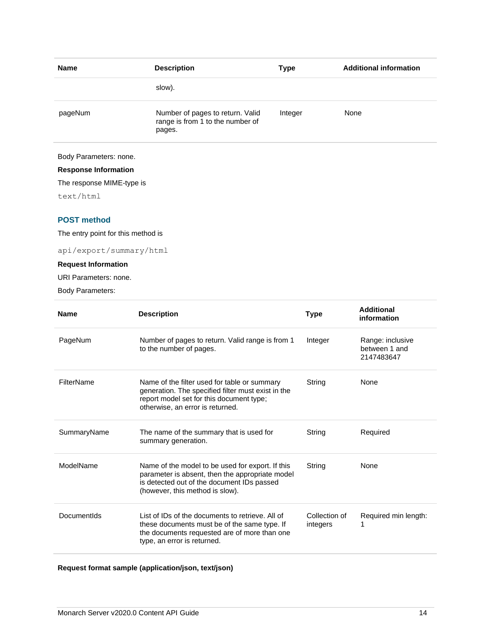| <b>Name</b> | <b>Description</b>                                                             | <b>Type</b> | <b>Additional information</b> |
|-------------|--------------------------------------------------------------------------------|-------------|-------------------------------|
|             | slow).                                                                         |             |                               |
| pageNum     | Number of pages to return. Valid<br>range is from 1 to the number of<br>pages. | Integer     | None                          |
|             |                                                                                |             |                               |

## Body Parameters: none.

## **Response Information**

The response MIME-type is

text/html

## **POST method**

The entry point for this method is

api/export/summary/html

## **Request Information**

URI Parameters: none.

Body Parameters:

| <b>Name</b> | <b>Description</b>                                                                                                                                                                   | <b>Type</b>               | <b>Additional</b><br>information                |
|-------------|--------------------------------------------------------------------------------------------------------------------------------------------------------------------------------------|---------------------------|-------------------------------------------------|
| PageNum     | Number of pages to return. Valid range is from 1<br>to the number of pages.                                                                                                          | Integer                   | Range: inclusive<br>between 1 and<br>2147483647 |
| FilterName  | Name of the filter used for table or summary<br>generation. The specified filter must exist in the<br>report model set for this document type;<br>otherwise, an error is returned.   | String                    | None                                            |
| SummaryName | The name of the summary that is used for<br>summary generation.                                                                                                                      | String                    | Required                                        |
| ModelName   | Name of the model to be used for export. If this<br>parameter is absent, then the appropriate model<br>is detected out of the document IDs passed<br>(however, this method is slow). | String                    | None                                            |
| DocumentIds | List of IDs of the documents to retrieve. All of<br>these documents must be of the same type. If<br>the documents requested are of more than one<br>type, an error is returned.      | Collection of<br>integers | Required min length:<br>1                       |

## **Request format sample (application/json, text/json)**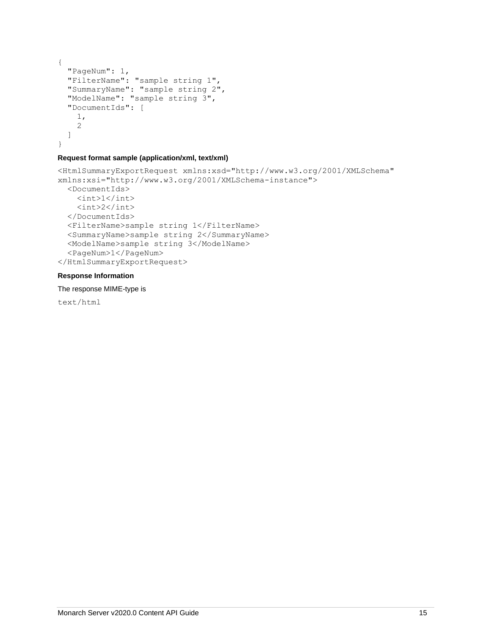```
{
  "PageNum": 1,
 "FilterName": "sample string 1",
 "SummaryName": "sample string 2",
  "ModelName": "sample string 3",
  "DocumentIds": [
    1,
     2
  ]
}
```
## **Request format sample (application/xml, text/xml)**

```
<HtmlSummaryExportRequest xmlns:xsd="http://www.w3.org/2001/XMLSchema" 
xmlns:xsi="http://www.w3.org/2001/XMLSchema-instance">
   <DocumentIds>
    \langle \text{int}>1 \langle \text{int}\rangle <int>2</int>
   </DocumentIds>
   <FilterName>sample string 1</FilterName>
   <SummaryName>sample string 2</SummaryName>
   <ModelName>sample string 3</ModelName>
   <PageNum>1</PageNum>
</HtmlSummaryExportRequest>
```
## **Response Information**

The response MIME-type is

text/html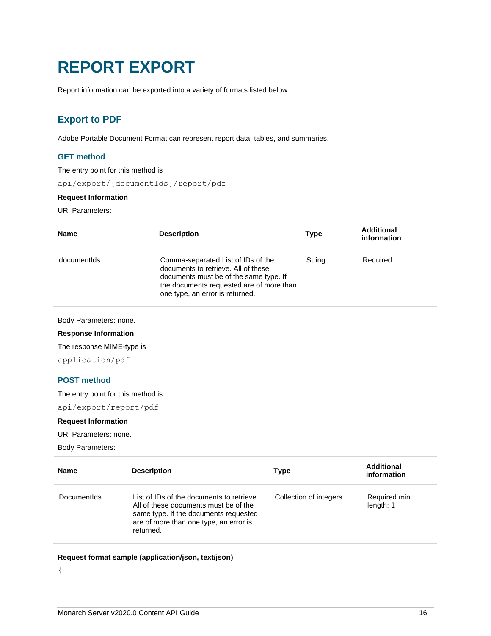## <span id="page-18-0"></span>**REPORT EXPORT**

<span id="page-18-1"></span>Report information can be exported into a variety of formats listed below.

## **Export to PDF**

Adobe Portable Document Format can represent report data, tables, and summaries.

## **GET method**

The entry point for this method is

api/export/{documentIds}/report/pdf

## **Request Information**

URI Parameters:

| <b>Name</b>                 | <b>Description</b>                                                                                                                                                                                 | <b>Type</b> | <b>Additional</b><br>information |
|-----------------------------|----------------------------------------------------------------------------------------------------------------------------------------------------------------------------------------------------|-------------|----------------------------------|
| documentids                 | Comma-separated List of IDs of the<br>documents to retrieve. All of these<br>documents must be of the same type. If<br>the documents requested are of more than<br>one type, an error is returned. | String      | Required                         |
| Body Parameters: none.      |                                                                                                                                                                                                    |             |                                  |
| <b>Response Information</b> |                                                                                                                                                                                                    |             |                                  |
| The response MIME-type is   |                                                                                                                                                                                                    |             |                                  |
| application/pdf             |                                                                                                                                                                                                    |             |                                  |

## **POST method**

The entry point for this method is

api/export/report/pdf

## **Request Information**

URI Parameters: none.

Body Parameters:

| <b>Name</b> | <b>Description</b>                                                                                                                                                                 | <b>Type</b>            | <b>Additional</b><br>information |
|-------------|------------------------------------------------------------------------------------------------------------------------------------------------------------------------------------|------------------------|----------------------------------|
| Documentids | List of IDs of the documents to retrieve.<br>All of these documents must be of the<br>same type. If the documents requested<br>are of more than one type, an error is<br>returned. | Collection of integers | Required min<br>length: 1        |

## **Request format sample (application/json, text/json)**

{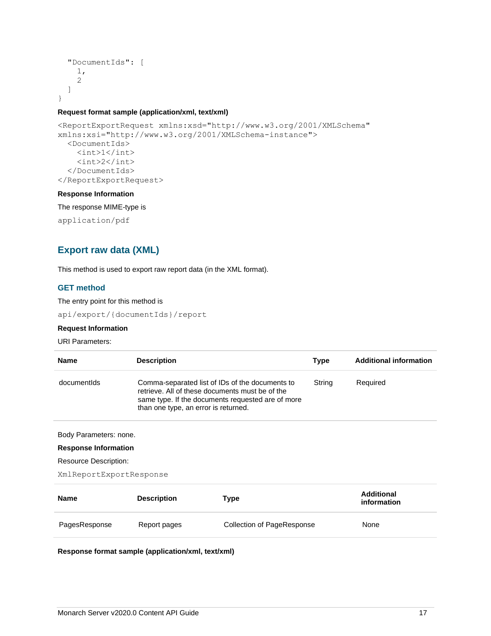```
 "DocumentIds": [
      1,
      2
   ]
}
```
## **Request format sample (application/xml, text/xml)**

```
<ReportExportRequest xmlns:xsd="http://www.w3.org/2001/XMLSchema" 
xmlns:xsi="http://www.w3.org/2001/XMLSchema-instance">
   <DocumentIds>
     <int>1</int>
    \langle \text{int} \rangle2\langle \text{int} \rangle </DocumentIds>
</ReportExportRequest>
```
## **Response Information**

The response MIME-type is

<span id="page-19-0"></span>application/pdf

## **Export raw data (XML)**

This method is used to export raw report data (in the XML format).

## **GET method**

The entry point for this method is api/export/{documentIds}/report

## **Request Information**

## URI Parameters:

| <b>Name</b> | <b>Description</b>                                                                                                                                                                              | Type   | <b>Additional information</b> |
|-------------|-------------------------------------------------------------------------------------------------------------------------------------------------------------------------------------------------|--------|-------------------------------|
| documentids | Comma-separated list of IDs of the documents to<br>retrieve. All of these documents must be of the<br>same type. If the documents requested are of more<br>than one type, an error is returned. | String | Required                      |

Body Parameters: none.

#### **Response Information**

Resource Description:

```
XmlReportExportResponse
```

| <b>Name</b>   | <b>Description</b> | Type                       | Additional<br>information |
|---------------|--------------------|----------------------------|---------------------------|
| PagesResponse | Report pages       | Collection of PageResponse | None                      |

**Response format sample (application/xml, text/xml)**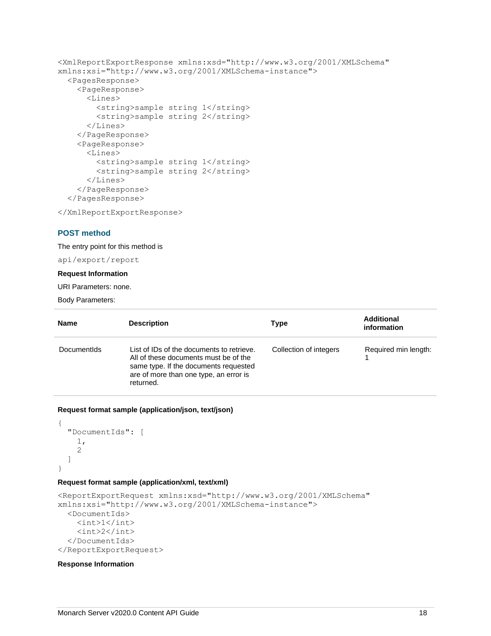```
<XmlReportExportResponse xmlns:xsd="http://www.w3.org/2001/XMLSchema" 
xmlns:xsi="http://www.w3.org/2001/XMLSchema-instance">
   <PagesResponse>
     <PageResponse>
       <Lines>
         <string>sample string 1</string>
         <string>sample string 2</string>
       </Lines>
     </PageResponse>
     <PageResponse>
       <Lines>
         <string>sample string 1</string>
         <string>sample string 2</string>
       </Lines>
     </PageResponse>
   </PagesResponse>
```
</XmlReportExportResponse>

#### **POST method**

The entry point for this method is

api/export/report

## **Request Information**

URI Parameters: none.

Body Parameters:

| <b>Name</b> | <b>Description</b>                                                                                                                                                                 | Type                   | <b>Additional</b><br>information |
|-------------|------------------------------------------------------------------------------------------------------------------------------------------------------------------------------------|------------------------|----------------------------------|
| Documentids | List of IDs of the documents to retrieve.<br>All of these documents must be of the<br>same type. If the documents requested<br>are of more than one type, an error is<br>returned. | Collection of integers | Required min length:             |

## **Request format sample (application/json, text/json)**

```
{
   "DocumentIds": [
      1,
      2
   ]
}
```
## **Request format sample (application/xml, text/xml)**

```
<ReportExportRequest xmlns:xsd="http://www.w3.org/2001/XMLSchema" 
xmlns:xsi="http://www.w3.org/2001/XMLSchema-instance">
   <DocumentIds>
    \langle \text{int}>1 \langle \text{int}\rangle <int>2</int>
   </DocumentIds>
</ReportExportRequest>
```
#### **Response Information**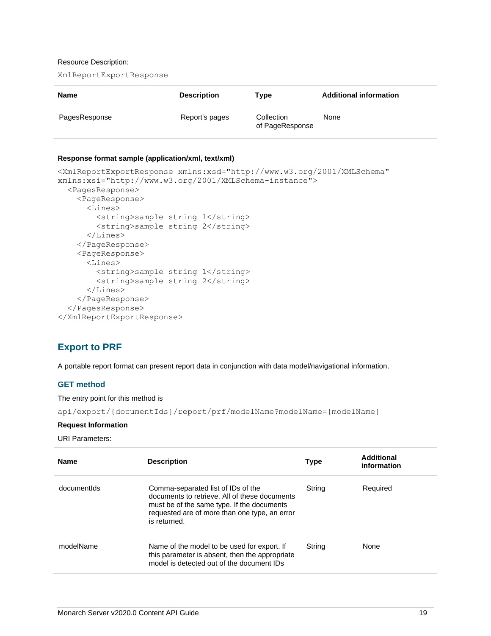### Resource Description:

XmlReportExportResponse

| <b>Name</b>   | <b>Description</b> | Type                          | <b>Additional information</b> |
|---------------|--------------------|-------------------------------|-------------------------------|
| PagesResponse | Report's pages     | Collection<br>of PageResponse | None                          |

#### **Response format sample (application/xml, text/xml)**

```
<XmlReportExportResponse xmlns:xsd="http://www.w3.org/2001/XMLSchema" 
xmlns:xsi="http://www.w3.org/2001/XMLSchema-instance">
   <PagesResponse>
     <PageResponse>
       <Lines>
         <string>sample string 1</string>
         <string>sample string 2</string>
       </Lines>
     </PageResponse>
     <PageResponse>
       <Lines>
         <string>sample string 1</string>
         <string>sample string 2</string>
       </Lines>
     </PageResponse>
   </PagesResponse>
</XmlReportExportResponse>
```
## <span id="page-21-0"></span>**Export to PRF**

A portable report format can present report data in conjunction with data model/navigational information.

## **GET method**

The entry point for this method is

api/export/{documentIds}/report/prf/modelName?modelName={modelName}

## **Request Information**

URI Parameters:

| <b>Name</b> | <b>Description</b>                                                                                                                                                                                 | <b>Type</b> | Additional<br>information |
|-------------|----------------------------------------------------------------------------------------------------------------------------------------------------------------------------------------------------|-------------|---------------------------|
| documentids | Comma-separated list of IDs of the<br>documents to retrieve. All of these documents<br>must be of the same type. If the documents<br>requested are of more than one type, an error<br>is returned. | String      | Required                  |
| modelName   | Name of the model to be used for export. If<br>this parameter is absent, then the appropriate<br>model is detected out of the document IDs                                                         | String      | None                      |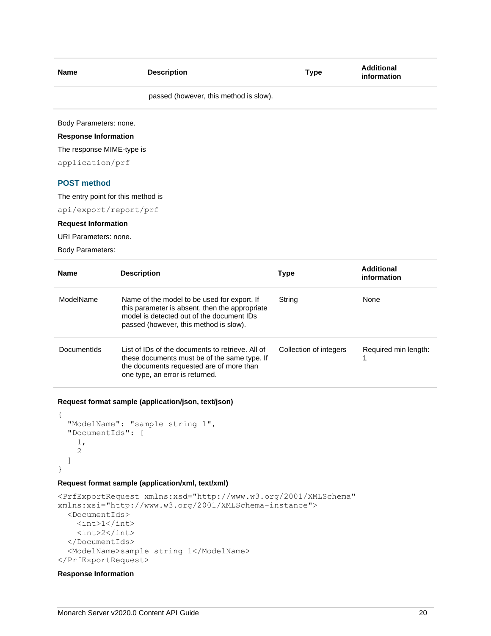| <b>Name</b>                        | <b>Description</b>                     | <b>Type</b> | <b>Additional</b><br>information |
|------------------------------------|----------------------------------------|-------------|----------------------------------|
|                                    | passed (however, this method is slow). |             |                                  |
| Body Parameters: none.             |                                        |             |                                  |
| <b>Response Information</b>        |                                        |             |                                  |
| The response MIME-type is          |                                        |             |                                  |
| application/prf                    |                                        |             |                                  |
| <b>POST method</b>                 |                                        |             |                                  |
| The entry point for this method is |                                        |             |                                  |
| api/export/report/prf              |                                        |             |                                  |
| <b>Request Information</b>         |                                        |             |                                  |
|                                    |                                        |             |                                  |

URI Parameters: none.

Body Parameters:

| <b>Name</b> | <b>Description</b>                                                                                                                                                                   | Type                   | Additional<br>information |
|-------------|--------------------------------------------------------------------------------------------------------------------------------------------------------------------------------------|------------------------|---------------------------|
| ModelName   | Name of the model to be used for export. If<br>this parameter is absent, then the appropriate<br>model is detected out of the document IDs<br>passed (however, this method is slow). | String                 | None                      |
| Documentids | List of IDs of the documents to retrieve. All of<br>these documents must be of the same type. If<br>the documents requested are of more than<br>one type, an error is returned.      | Collection of integers | Required min length:      |

**Request format sample (application/json, text/json)**

```
{
   "ModelName": "sample string 1",
   "DocumentIds": [
    1,
     2
   ]
}
```
## **Request format sample (application/xml, text/xml)**

```
<PrfExportRequest xmlns:xsd="http://www.w3.org/2001/XMLSchema" 
xmlns:xsi="http://www.w3.org/2001/XMLSchema-instance">
   <DocumentIds>
     \langleint>1\langleint>
     \langle \text{int} \rangle 2 \langle \text{int} \rangle </DocumentIds>
   <ModelName>sample string 1</ModelName>
</PrfExportRequest>
```
## **Response Information**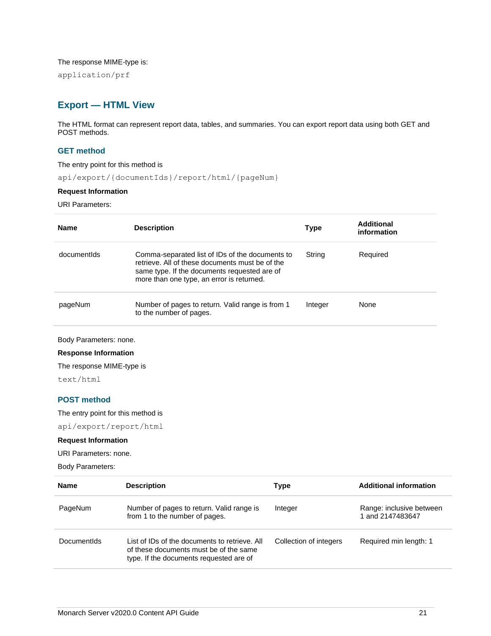The response MIME-type is:

<span id="page-23-0"></span>application/prf

## **Export — HTML View**

The HTML format can represent report data, tables, and summaries. You can export report data using both GET and POST methods.

## **GET method**

The entry point for this method is

api/export/{documentIds}/report/html/{pageNum}

### **Request Information**

URI Parameters:

| Name        | <b>Description</b>                                                                                                                                                                              | <b>Type</b> | Additional<br>information |
|-------------|-------------------------------------------------------------------------------------------------------------------------------------------------------------------------------------------------|-------------|---------------------------|
| documentids | Comma-separated list of IDs of the documents to<br>retrieve. All of these documents must be of the<br>same type. If the documents requested are of<br>more than one type, an error is returned. | String      | Required                  |
| pageNum     | Number of pages to return. Valid range is from 1<br>to the number of pages.                                                                                                                     | Integer     | None                      |

Body Parameters: none.

**Response Information**

The response MIME-type is

text/html

## **POST method**

The entry point for this method is

api/export/report/html

## **Request Information**

URI Parameters: none.

Body Parameters:

| Name               | <b>Description</b>                                                                                                                 | Type                   | <b>Additional information</b>                |
|--------------------|------------------------------------------------------------------------------------------------------------------------------------|------------------------|----------------------------------------------|
| PageNum            | Number of pages to return. Valid range is<br>from 1 to the number of pages.                                                        | Integer                | Range: inclusive between<br>1 and 2147483647 |
| <b>Documentids</b> | List of IDs of the documents to retrieve. All<br>of these documents must be of the same<br>type. If the documents requested are of | Collection of integers | Required min length: 1                       |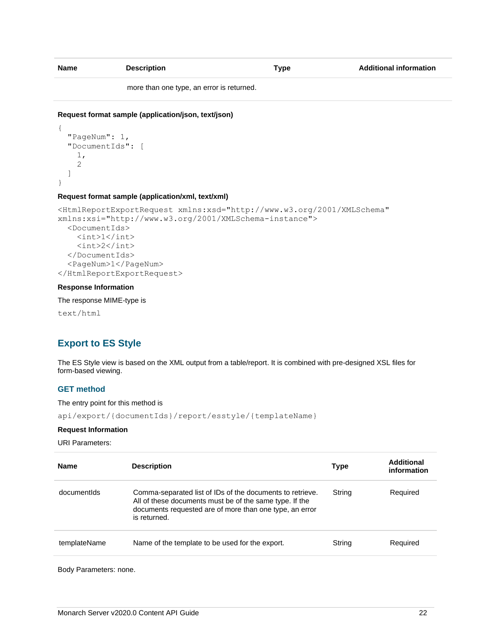| <b>Name</b> | <b>Description</b> | Type | <b>Additional information</b> |
|-------------|--------------------|------|-------------------------------|
|             |                    |      |                               |

more than one type, an error is returned.

## **Request format sample (application/json, text/json)**

```
{
   "PageNum": 1,
   "DocumentIds": [
     1,
     2
   ]
}
```
#### **Request format sample (application/xml, text/xml)**

```
<HtmlReportExportRequest xmlns:xsd="http://www.w3.org/2001/XMLSchema" 
xmlns:xsi="http://www.w3.org/2001/XMLSchema-instance">
   <DocumentIds>
    \langleint>1\langleint>
     <int>2</int>
   </DocumentIds>
   <PageNum>1</PageNum>
</HtmlReportExportRequest>
```
## **Response Information**

The response MIME-type is

<span id="page-24-0"></span>text/html

## **Export to ES Style**

The ES Style view is based on the XML output from a table/report. It is combined with pre-designed XSL files for form-based viewing.

## **GET method**

The entry point for this method is

```
api/export/{documentIds}/report/esstyle/{templateName}
```
#### **Request Information**

URI Parameters:

| <b>Name</b>  | <b>Description</b>                                                                                                                                                                              | Type   | Additional<br>information |
|--------------|-------------------------------------------------------------------------------------------------------------------------------------------------------------------------------------------------|--------|---------------------------|
| documentids  | Comma-separated list of IDs of the documents to retrieve.<br>All of these documents must be of the same type. If the<br>documents requested are of more than one type, an error<br>is returned. | String | Required                  |
| templateName | Name of the template to be used for the export.                                                                                                                                                 | String | Required                  |

Body Parameters: none.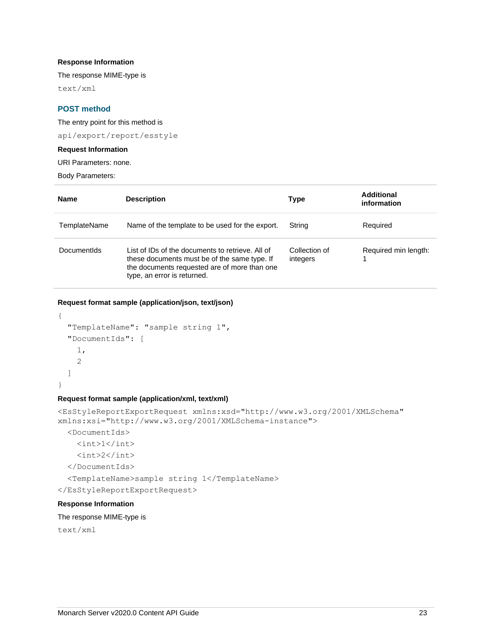## **Response Information**

The response MIME-type is

text/xml

## **POST method**

The entry point for this method is

api/export/report/esstyle

## **Request Information**

URI Parameters: none.

Body Parameters:

| Name         | <b>Description</b>                                                                                                                                                              | Type                      | Additional<br>information |
|--------------|---------------------------------------------------------------------------------------------------------------------------------------------------------------------------------|---------------------------|---------------------------|
| TemplateName | Name of the template to be used for the export.                                                                                                                                 | String                    | Required                  |
| Documentids  | List of IDs of the documents to retrieve. All of<br>these documents must be of the same type. If<br>the documents requested are of more than one<br>type, an error is returned. | Collection of<br>integers | Required min length:      |

## **Request format sample (application/json, text/json)**

```
{
   "TemplateName": "sample string 1",
   "DocumentIds": [
     1,
     2
   ]
}
```
#### **Request format sample (application/xml, text/xml)**

```
<EsStyleReportExportRequest xmlns:xsd="http://www.w3.org/2001/XMLSchema" 
xmlns:xsi="http://www.w3.org/2001/XMLSchema-instance">
   <DocumentIds>
    \langleint>1\langleint>
    \langleint>2\langleint>
   </DocumentIds>
   <TemplateName>sample string 1</TemplateName>
</EsStyleReportExportRequest>
Response Information
```
## The response MIME-type is

text/xml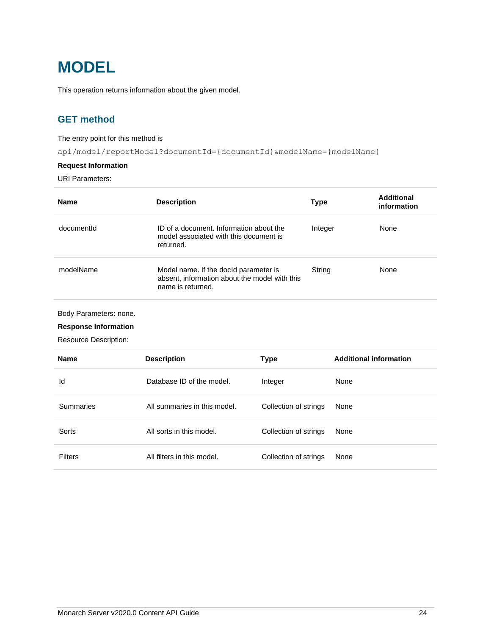## <span id="page-26-0"></span>**MODEL**

<span id="page-26-1"></span>This operation returns information about the given model.

## **GET method**

## The entry point for this method is

api/model/reportModel?documentId={documentId}&modelName={modelName}

## **Request Information**

URI Parameters:

| <b>Name</b>                                                                           | <b>Description</b>                                                                                          |         | Type    | <b>Additional</b><br>information |
|---------------------------------------------------------------------------------------|-------------------------------------------------------------------------------------------------------------|---------|---------|----------------------------------|
| documentId                                                                            | ID of a document. Information about the<br>model associated with this document is<br>returned.              |         | Integer | None                             |
| modelName                                                                             | Model name. If the docld parameter is<br>absent, information about the model with this<br>name is returned. |         | String  | None                             |
| Body Parameters: none.<br><b>Response Information</b><br><b>Resource Description:</b> |                                                                                                             |         |         |                                  |
| <b>Name</b>                                                                           | <b>Description</b>                                                                                          | Type    |         | <b>Additional information</b>    |
| ld                                                                                    | Database ID of the model.                                                                                   | Integer | None    |                                  |

Summaries **All summaries in this model.** Collection of strings None

Sorts **All sorts in this model.** Collection of strings None

Filters **All filters in this model.** Collection of strings None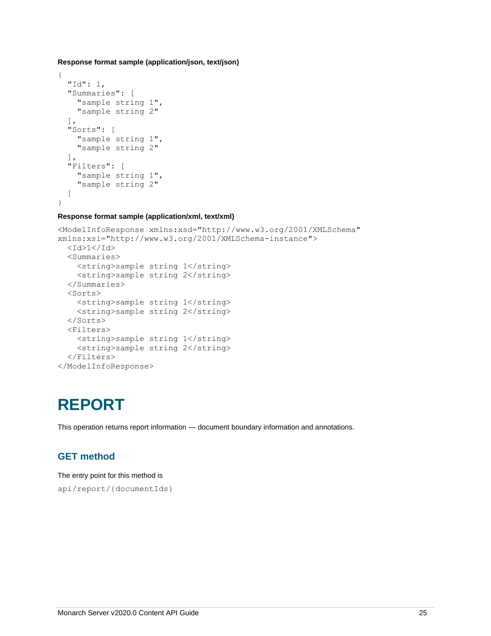**Response format sample (application/json, text/json)**

```
{
   "Id": 1,
   "Summaries": [
     "sample string 1",
     "sample string 2"
  \frac{1}{2} "Sorts": [
      "sample string 1",
      "sample string 2"
  \frac{1}{2},
   "Filters": [
     "sample string 1",
     "sample string 2"
   ]
}
```
## **Response format sample (application/xml, text/xml)**

```
<ModelInfoResponse xmlns:xsd="http://www.w3.org/2001/XMLSchema" 
xmlns:xsi="http://www.w3.org/2001/XMLSchema-instance">
  <Id>1</Id>
   <Summaries>
     <string>sample string 1</string>
     <string>sample string 2</string>
   </Summaries>
   <Sorts>
    <string>sample string 1</string>
     <string>sample string 2</string>
   </Sorts>
   <Filters>
     <string>sample string 1</string>
     <string>sample string 2</string>
   </Filters>
</ModelInfoResponse>
```
## <span id="page-27-0"></span>**REPORT**

<span id="page-27-1"></span>This operation returns report information — document boundary information and annotations.

## **GET method**

The entry point for this method is api/report/{documentIds}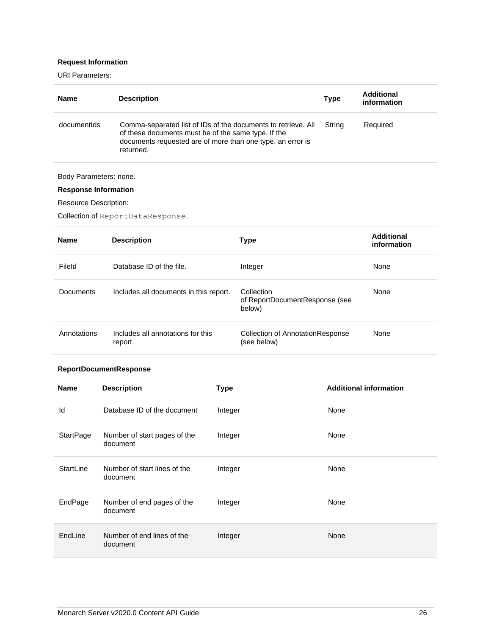## **Request Information**

URI Parameters:

| <b>Name</b> | <b>Description</b>                                                                                                                                                                              | <b>Type</b> | Additional<br>information |
|-------------|-------------------------------------------------------------------------------------------------------------------------------------------------------------------------------------------------|-------------|---------------------------|
| documentids | Comma-separated list of IDs of the documents to retrieve. All<br>of these documents must be of the same type. If the<br>documents requested are of more than one type, an error is<br>returned. | Strina      | Required                  |

## Body Parameters: none.

## **Response Information**

Resource Description:

Collection of ReportDataResponse.

| <b>Name</b> | <b>Description</b>                           | Type                                                   | Additional<br>information |
|-------------|----------------------------------------------|--------------------------------------------------------|---------------------------|
| Fileld      | Database ID of the file.                     | Integer                                                | None                      |
| Documents   | Includes all documents in this report.       | Collection<br>of ReportDocumentResponse (see<br>below) | None                      |
| Annotations | Includes all annotations for this<br>report. | Collection of AnnotationResponse<br>(see below)        | None                      |

## **ReportDocumentResponse**

| <b>Name</b> | <b>Description</b>                       | <b>Type</b> | <b>Additional information</b> |
|-------------|------------------------------------------|-------------|-------------------------------|
| ld          | Database ID of the document              | Integer     | None                          |
| StartPage   | Number of start pages of the<br>document | Integer     | None                          |
| StartLine   | Number of start lines of the<br>document | Integer     | None                          |
| EndPage     | Number of end pages of the<br>document   | Integer     | None                          |
| EndLine     | Number of end lines of the<br>document   | Integer     | None                          |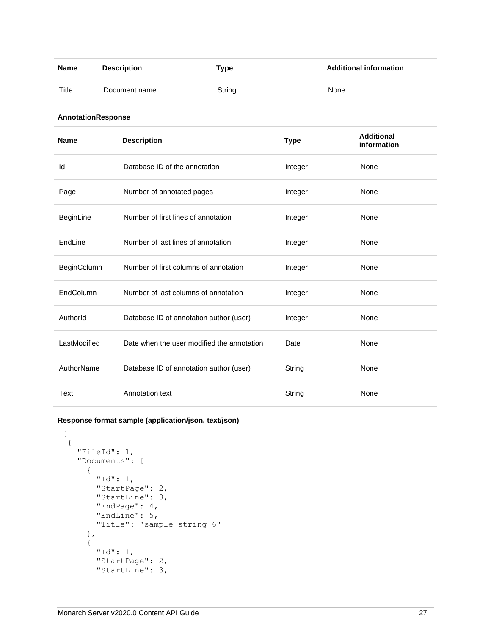| <b>Name</b>        | <b>Description</b>            | <b>Type</b>                                |             | <b>Additional information</b>    |
|--------------------|-------------------------------|--------------------------------------------|-------------|----------------------------------|
| Title              | Document name                 | String                                     |             | None                             |
| AnnotationResponse |                               |                                            |             |                                  |
| <b>Name</b>        | <b>Description</b>            |                                            | <b>Type</b> | <b>Additional</b><br>information |
| Id                 | Database ID of the annotation |                                            | Integer     | None                             |
| Page               | Number of annotated pages     |                                            | Integer     | None                             |
| BeginLine          |                               | Number of first lines of annotation        | Integer     | None                             |
| EndLine            |                               | Number of last lines of annotation         | Integer     | None                             |
| BeginColumn        |                               | Number of first columns of annotation      | Integer     | None                             |
| EndColumn          |                               | Number of last columns of annotation       | Integer     | None                             |
| Authorld           |                               | Database ID of annotation author (user)    | Integer     | None                             |
| LastModified       |                               | Date when the user modified the annotation | Date        | None                             |
| AuthorName         |                               | Database ID of annotation author (user)    | String      | None                             |
| Text               | Annotation text               |                                            | String      | None                             |

**Response format sample (application/json, text/json)**

 $\lceil$ 

```
 {
  "FileId": 1,
   "Documents": [
     {
       "Id": 1,
       "StartPage": 2,
       "StartLine": 3,
       "EndPage": 4,
       "EndLine": 5,
       "Title": "sample string 6"
     },
     {
       "Id": 1,
       "StartPage": 2,
       "StartLine": 3,
```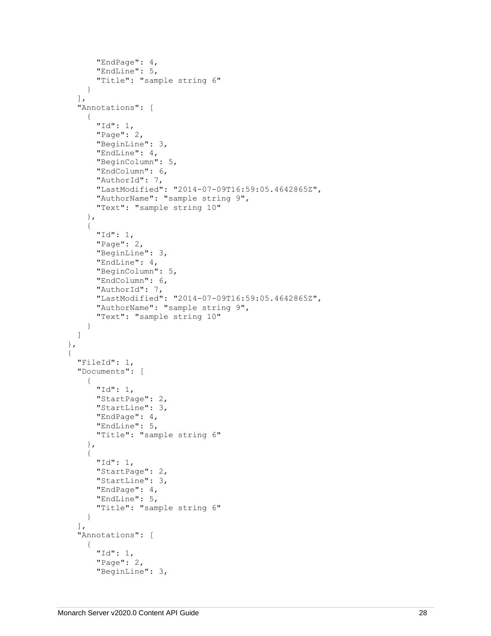```
 "EndPage": 4,
       "EndLine": 5,
       "Title": "sample string 6"
     }
  \vert,
   "Annotations": [
     {
       "Id": 1,
       "Page": 2,
       "BeginLine": 3,
       "EndLine": 4,
       "BeginColumn": 5,
       "EndColumn": 6,
       "AuthorId": 7,
       "LastModified": "2014-07-09T16:59:05.4642865Z",
       "AuthorName": "sample string 9",
       "Text": "sample string 10"
     },
     {
       "Id": 1,
       "Page": 2,
       "BeginLine": 3,
       "EndLine": 4,
       "BeginColumn": 5,
       "EndColumn": 6,
       "AuthorId": 7,
       "LastModified": "2014-07-09T16:59:05.4642865Z",
       "AuthorName": "sample string 9",
       "Text": "sample string 10"
     }
   ]
 },
 {
   "FileId": 1,
   "Documents": [
     {
       "Id": 1,
       "StartPage": 2,
       "StartLine": 3,
       "EndPage": 4,
       "EndLine": 5,
       "Title": "sample string 6"
     },
     {
       "Id": 1,
       "StartPage": 2,
       "StartLine": 3,
       "EndPage": 4,
       "EndLine": 5,
       "Title": "sample string 6"
     }
   ],
   "Annotations": [
     {
       "Id": 1,
       "Page": 2,
       "BeginLine": 3,
```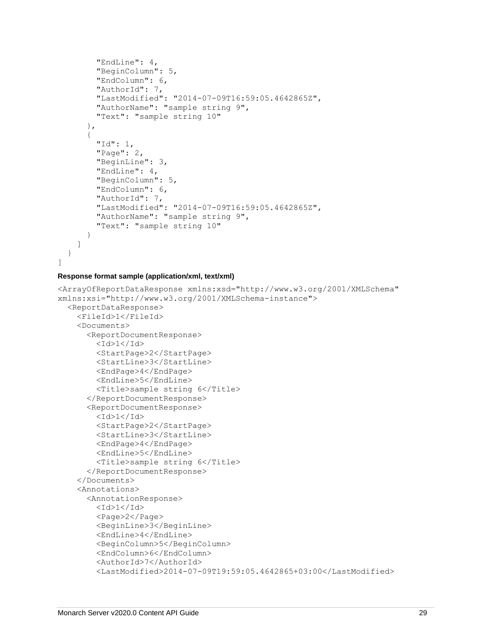```
 "EndLine": 4,
         "BeginColumn": 5,
         "EndColumn": 6,
         "AuthorId": 7,
         "LastModified": "2014-07-09T16:59:05.4642865Z",
         "AuthorName": "sample string 9",
         "Text": "sample string 10"
       },
       {
         "Id": 1,
         "Page": 2,
         "BeginLine": 3,
         "EndLine": 4,
         "BeginColumn": 5,
         "EndColumn": 6,
         "AuthorId": 7,
         "LastModified": "2014-07-09T16:59:05.4642865Z",
         "AuthorName": "sample string 9",
         "Text": "sample string 10"
       }
     ]
   }
]
```
### **Response format sample (application/xml, text/xml)**

```
<ArrayOfReportDataResponse xmlns:xsd="http://www.w3.org/2001/XMLSchema" 
xmlns:xsi="http://www.w3.org/2001/XMLSchema-instance">
   <ReportDataResponse>
     <FileId>1</FileId>
     <Documents>
       <ReportDocumentResponse>
        <Id>1</Id>
         <StartPage>2</StartPage>
         <StartLine>3</StartLine>
         <EndPage>4</EndPage>
         <EndLine>5</EndLine>
         <Title>sample string 6</Title>
       </ReportDocumentResponse>
       <ReportDocumentResponse>
        <Id>1</Id>
         <StartPage>2</StartPage>
         <StartLine>3</StartLine>
         <EndPage>4</EndPage>
         <EndLine>5</EndLine>
         <Title>sample string 6</Title>
       </ReportDocumentResponse>
     </Documents>
     <Annotations>
       <AnnotationResponse>
        <Id>1</Id>
         <Page>2</Page>
         <BeginLine>3</BeginLine>
         <EndLine>4</EndLine>
         <BeginColumn>5</BeginColumn>
         <EndColumn>6</EndColumn>
         <AuthorId>7</AuthorId>
         <LastModified>2014-07-09T19:59:05.4642865+03:00</LastModified>
```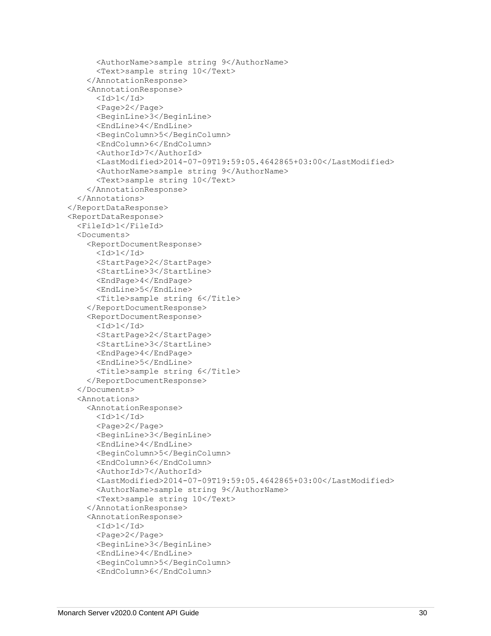```
 <AuthorName>sample string 9</AuthorName>
       <Text>sample string 10</Text>
     </AnnotationResponse>
     <AnnotationResponse>
      <Id>1</Id>
       <Page>2</Page>
       <BeginLine>3</BeginLine>
       <EndLine>4</EndLine>
       <BeginColumn>5</BeginColumn>
       <EndColumn>6</EndColumn>
       <AuthorId>7</AuthorId>
       <LastModified>2014-07-09T19:59:05.4642865+03:00</LastModified>
       <AuthorName>sample string 9</AuthorName>
       <Text>sample string 10</Text>
     </AnnotationResponse>
   </Annotations>
 </ReportDataResponse>
 <ReportDataResponse>
   <FileId>1</FileId>
   <Documents>
     <ReportDocumentResponse>
      <Id>1</Id>
       <StartPage>2</StartPage>
       <StartLine>3</StartLine>
       <EndPage>4</EndPage>
       <EndLine>5</EndLine>
       <Title>sample string 6</Title>
     </ReportDocumentResponse>
     <ReportDocumentResponse>
      <Id>1</Id>
       <StartPage>2</StartPage>
       <StartLine>3</StartLine>
       <EndPage>4</EndPage>
       <EndLine>5</EndLine>
       <Title>sample string 6</Title>
     </ReportDocumentResponse>
   </Documents>
   <Annotations>
     <AnnotationResponse>
      <Id>1</Id>
       <Page>2</Page>
       <BeginLine>3</BeginLine>
       <EndLine>4</EndLine>
       <BeginColumn>5</BeginColumn>
       <EndColumn>6</EndColumn>
       <AuthorId>7</AuthorId>
       <LastModified>2014-07-09T19:59:05.4642865+03:00</LastModified>
       <AuthorName>sample string 9</AuthorName>
       <Text>sample string 10</Text>
     </AnnotationResponse>
     <AnnotationResponse>
      <Id>1</Id>
       <Page>2</Page>
       <BeginLine>3</BeginLine>
       <EndLine>4</EndLine>
       <BeginColumn>5</BeginColumn>
       <EndColumn>6</EndColumn>
```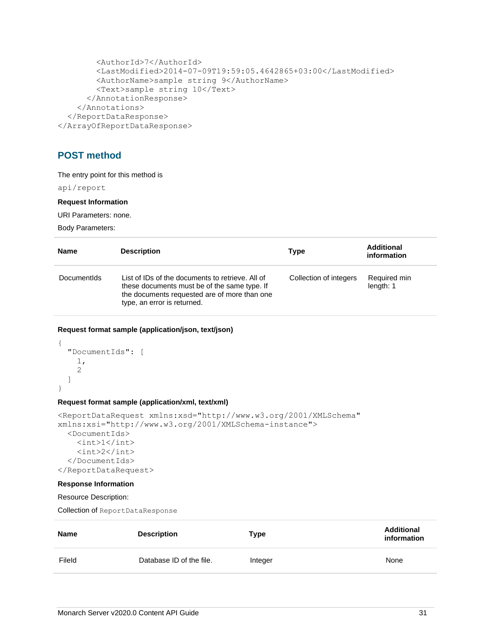```
 <AuthorId>7</AuthorId>
         <LastModified>2014-07-09T19:59:05.4642865+03:00</LastModified>
         <AuthorName>sample string 9</AuthorName>
         <Text>sample string 10</Text>
       </AnnotationResponse>
     </Annotations>
   </ReportDataResponse>
</ArrayOfReportDataResponse>
```
## <span id="page-33-0"></span>**POST method**

The entry point for this method is

api/report

#### **Request Information**

URI Parameters: none.

Body Parameters:

| <b>Name</b>        | <b>Description</b>                                                                                                                                                              | Type                   | <b>Additional</b><br>information |
|--------------------|---------------------------------------------------------------------------------------------------------------------------------------------------------------------------------|------------------------|----------------------------------|
| <b>Documentids</b> | List of IDs of the documents to retrieve. All of<br>these documents must be of the same type. If<br>the documents requested are of more than one<br>type, an error is returned. | Collection of integers | Required min<br>length: 1        |

## **Request format sample (application/json, text/json)**

```
{
   "DocumentIds": [
     1,
      2
   ]
}
```
## **Request format sample (application/xml, text/xml)**

```
<ReportDataRequest xmlns:xsd="http://www.w3.org/2001/XMLSchema" 
xmlns:xsi="http://www.w3.org/2001/XMLSchema-instance">
   <DocumentIds>
    \langle \text{int}>1 \langle \text{int}\rangle <int>2</int>
   </DocumentIds>
</ReportDataRequest>
```
#### **Response Information**

Resource Description:

Collection of ReportDataResponse

| <b>Name</b> | <b>Description</b>       | Type    | <b>Additional</b><br>information |
|-------------|--------------------------|---------|----------------------------------|
| Fileld      | Database ID of the file. | Integer | None                             |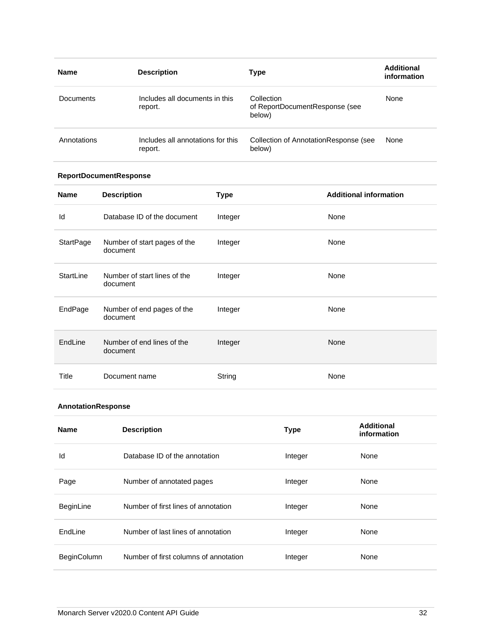| <b>Name</b> | <b>Description</b>                           | Type                                                   | <b>Additional</b><br>information |
|-------------|----------------------------------------------|--------------------------------------------------------|----------------------------------|
| Documents   | Includes all documents in this<br>report.    | Collection<br>of ReportDocumentResponse (see<br>below) | None                             |
| Annotations | Includes all annotations for this<br>report. | Collection of AnnotationResponse (see<br>below)        | None                             |

## **ReportDocumentResponse**

| <b>Name</b> | <b>Description</b>                       | <b>Type</b> | <b>Additional information</b> |
|-------------|------------------------------------------|-------------|-------------------------------|
| Id          | Database ID of the document              | Integer     | None                          |
| StartPage   | Number of start pages of the<br>document | Integer     | None                          |
| StartLine   | Number of start lines of the<br>document | Integer     | None                          |
| EndPage     | Number of end pages of the<br>document   | Integer     | None                          |
| EndLine     | Number of end lines of the<br>document   | Integer     | <b>None</b>                   |
| Title       | Document name                            | String      | None                          |

## **AnnotationResponse**

| <b>Name</b>        | <b>Description</b>                    | <b>Type</b> | <b>Additional</b><br>information |
|--------------------|---------------------------------------|-------------|----------------------------------|
| ld                 | Database ID of the annotation         | Integer     | None                             |
| Page               | Number of annotated pages             | Integer     | None                             |
| BeginLine          | Number of first lines of annotation   | Integer     | None                             |
| EndLine            | Number of last lines of annotation    | Integer     | None                             |
| <b>BeginColumn</b> | Number of first columns of annotation | Integer     | None                             |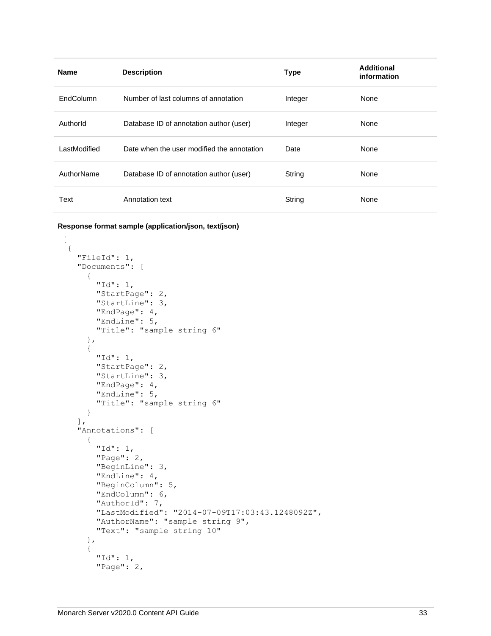| <b>Name</b>  | <b>Description</b>                         | <b>Type</b> | Additional<br>information |
|--------------|--------------------------------------------|-------------|---------------------------|
| EndColumn    | Number of last columns of annotation       | Integer     | None                      |
| Authorld     | Database ID of annotation author (user)    | Integer     | None                      |
| LastModified | Date when the user modified the annotation | Date        | None                      |
| AuthorName   | Database ID of annotation author (user)    | String      | None                      |
| Text         | Annotation text                            | String      | None                      |

**Response format sample (application/json, text/json)**

```
\lceil {
    "FileId": 1,
    "Documents": [
      {
        "Id": 1,
        "StartPage": 2,
        "StartLine": 3,
        "EndPage": 4,
         "EndLine": 5,
        "Title": "sample string 6"
      },
      {
        "Id": 1,
        "StartPage": 2,
         "StartLine": 3,
         "EndPage": 4,
         "EndLine": 5,
         "Title": "sample string 6"
      }
   \vert,
    "Annotations": [
      {
        "Id": 1,
        "Page": 2,
        "BeginLine": 3,
        "EndLine": 4,
         "BeginColumn": 5,
         "EndColumn": 6,
        "AuthorId": 7,
         "LastModified": "2014-07-09T17:03:43.1248092Z",
         "AuthorName": "sample string 9",
         "Text": "sample string 10"
      },
      {
         "Id": 1,
         "Page": 2,
```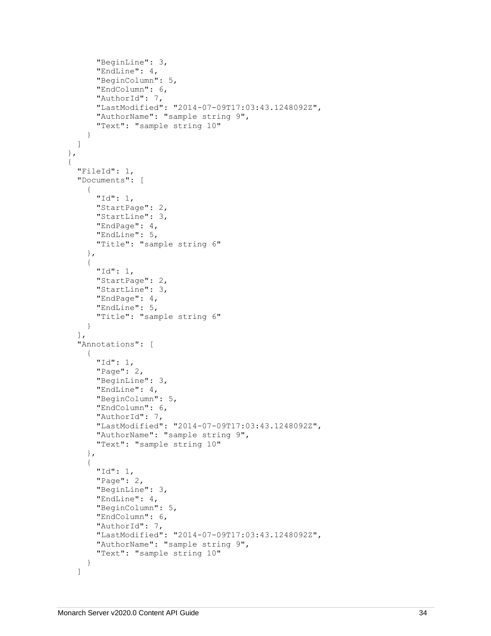```
 "BeginLine": 3,
       "EndLine": 4,
       "BeginColumn": 5,
       "EndColumn": 6,
       "AuthorId": 7,
       "LastModified": "2014-07-09T17:03:43.1248092Z",
       "AuthorName": "sample string 9",
       "Text": "sample string 10"
     }
   ]
 },
 {
   "FileId": 1,
   "Documents": [
     {
       "Id": 1,
       "StartPage": 2,
       "StartLine": 3,
       "EndPage": 4,
       "EndLine": 5,
       "Title": "sample string 6"
     },
     {
       "Id": 1,
       "StartPage": 2,
       "StartLine": 3,
       "EndPage": 4,
       "EndLine": 5,
       "Title": "sample string 6"
     }
   ],
   "Annotations": [
     {
       "Id": 1,
       "Page": 2,
       "BeginLine": 3,
       "EndLine": 4,
       "BeginColumn": 5,
       "EndColumn": 6,
       "AuthorId": 7,
       "LastModified": "2014-07-09T17:03:43.1248092Z",
       "AuthorName": "sample string 9",
       "Text": "sample string 10"
     },
     {
       "Id": 1,
       "Page": 2,
       "BeginLine": 3,
       "EndLine": 4,
       "BeginColumn": 5,
       "EndColumn": 6,
      "AuthorId": 7,
       "LastModified": "2014-07-09T17:03:43.1248092Z",
       "AuthorName": "sample string 9",
       "Text": "sample string 10"
     }
   ]
```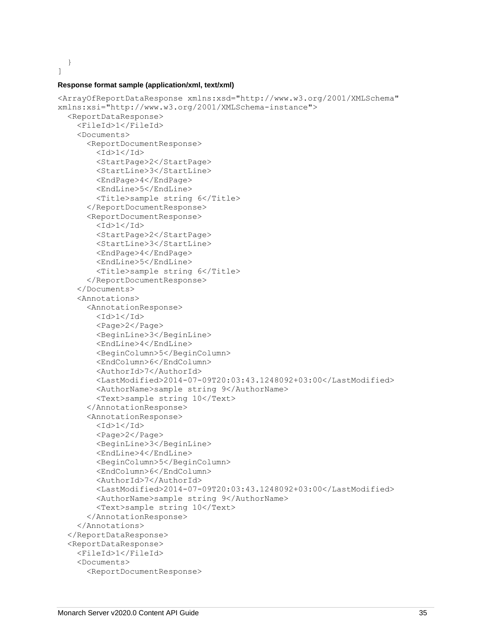]

}

#### **Response format sample (application/xml, text/xml)**

```
<ArrayOfReportDataResponse xmlns:xsd="http://www.w3.org/2001/XMLSchema" 
xmlns:xsi="http://www.w3.org/2001/XMLSchema-instance">
   <ReportDataResponse>
     <FileId>1</FileId>
     <Documents>
       <ReportDocumentResponse>
         <Id>1</Id>
         <StartPage>2</StartPage>
         <StartLine>3</StartLine>
         <EndPage>4</EndPage>
         <EndLine>5</EndLine>
         <Title>sample string 6</Title>
       </ReportDocumentResponse>
       <ReportDocumentResponse>
        <Id>1</Id>
         <StartPage>2</StartPage>
         <StartLine>3</StartLine>
         <EndPage>4</EndPage>
         <EndLine>5</EndLine>
         <Title>sample string 6</Title>
       </ReportDocumentResponse>
     </Documents>
     <Annotations>
       <AnnotationResponse>
        <Id>1</Id>
         <Page>2</Page>
         <BeginLine>3</BeginLine>
         <EndLine>4</EndLine>
         <BeginColumn>5</BeginColumn>
         <EndColumn>6</EndColumn>
         <AuthorId>7</AuthorId>
         <LastModified>2014-07-09T20:03:43.1248092+03:00</LastModified>
         <AuthorName>sample string 9</AuthorName>
         <Text>sample string 10</Text>
       </AnnotationResponse>
       <AnnotationResponse>
        <Id>1</Id>
         <Page>2</Page>
         <BeginLine>3</BeginLine>
         <EndLine>4</EndLine>
         <BeginColumn>5</BeginColumn>
         <EndColumn>6</EndColumn>
         <AuthorId>7</AuthorId>
         <LastModified>2014-07-09T20:03:43.1248092+03:00</LastModified>
         <AuthorName>sample string 9</AuthorName>
         <Text>sample string 10</Text>
       </AnnotationResponse>
     </Annotations>
   </ReportDataResponse>
   <ReportDataResponse>
     <FileId>1</FileId>
     <Documents>
       <ReportDocumentResponse>
```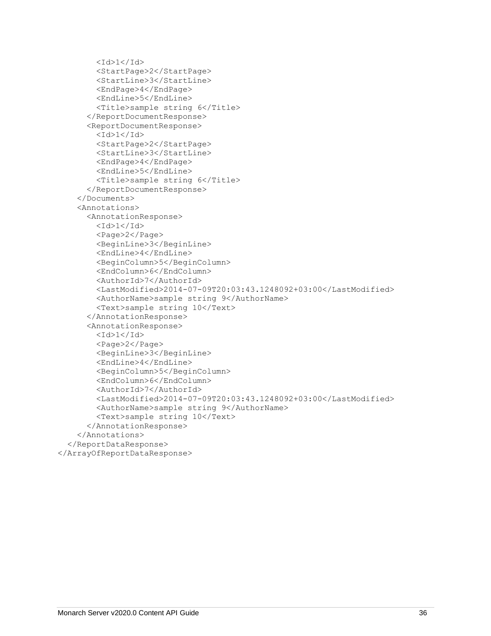```
<Id>1</Id>
         <StartPage>2</StartPage>
         <StartLine>3</StartLine>
         <EndPage>4</EndPage>
         <EndLine>5</EndLine>
         <Title>sample string 6</Title>
       </ReportDocumentResponse>
       <ReportDocumentResponse>
        <Id>1</Id>
         <StartPage>2</StartPage>
         <StartLine>3</StartLine>
         <EndPage>4</EndPage>
         <EndLine>5</EndLine>
         <Title>sample string 6</Title>
       </ReportDocumentResponse>
     </Documents>
     <Annotations>
       <AnnotationResponse>
        <Id>1</Id>
         <Page>2</Page>
         <BeginLine>3</BeginLine>
         <EndLine>4</EndLine>
         <BeginColumn>5</BeginColumn>
         <EndColumn>6</EndColumn>
         <AuthorId>7</AuthorId>
         <LastModified>2014-07-09T20:03:43.1248092+03:00</LastModified>
         <AuthorName>sample string 9</AuthorName>
         <Text>sample string 10</Text>
       </AnnotationResponse>
       <AnnotationResponse>
        <Id>1</Id>
         <Page>2</Page>
         <BeginLine>3</BeginLine>
         <EndLine>4</EndLine>
         <BeginColumn>5</BeginColumn>
         <EndColumn>6</EndColumn>
         <AuthorId>7</AuthorId>
         <LastModified>2014-07-09T20:03:43.1248092+03:00</LastModified>
         <AuthorName>sample string 9</AuthorName>
         <Text>sample string 10</Text>
       </AnnotationResponse>
     </Annotations>
  </ReportDataResponse>
</ArrayOfReportDataResponse>
```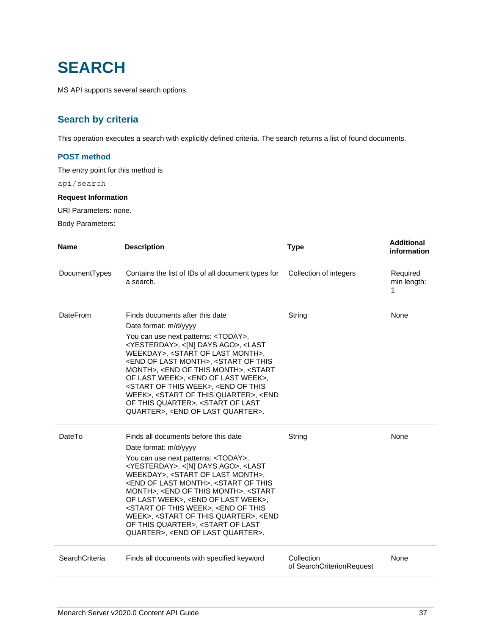# **SEARCH**

MS API supports several search options.

# **Search by criteria**

This operation executes a search with explicitly defined criteria. The search returns a list of found documents.

## **POST method**

The entry point for this method is

api/search

#### **Request Information**

URI Parameters: none.

Body Parameters:

| <b>Name</b>     | <b>Description</b>                                                                                                                                                                                                                                                                                                                                                                                                                                                                                                                                                                                                                                                                           | <b>Type</b>                             | <b>Additional</b><br>information |
|-----------------|----------------------------------------------------------------------------------------------------------------------------------------------------------------------------------------------------------------------------------------------------------------------------------------------------------------------------------------------------------------------------------------------------------------------------------------------------------------------------------------------------------------------------------------------------------------------------------------------------------------------------------------------------------------------------------------------|-----------------------------------------|----------------------------------|
| DocumentTypes   | Contains the list of IDs of all document types for<br>a search.                                                                                                                                                                                                                                                                                                                                                                                                                                                                                                                                                                                                                              | Collection of integers                  | Required<br>min length:<br>1     |
| <b>DateFrom</b> | Finds documents after this date<br>Date format: m/d/yyyy<br>You can use next patterns: <today>,<br/><yesterday>, &lt;[N] DAYS AGO&gt;, <last<br>WEEKDAY&gt;, <start last="" month="" of="">,<br/><end last="" month="" of="">, <start of="" this<br="">MONTH&gt;, <end month="" of="" this="">, <start<br>OF LAST WEEK&gt;, <end last="" of="" week="">,<br/><start of="" this="" week="">, <end of="" this<br="">WEEK&gt;, <start of="" quarter="" this="">, <end<br>OF THIS QUARTER&gt;, <start last<br="" of="">QUARTER&gt;, <end last="" of="" quarter="">.</end></start></end<br></start></end></start></end></start<br></end></start></end></start></last<br></yesterday></today>      | String                                  | None                             |
| DateTo          | Finds all documents before this date<br>Date format: m/d/yyyy<br>You can use next patterns: <today>,<br/><yesterday>, &lt;[N] DAYS AGO&gt;, <last<br>WEEKDAY&gt;, <start last="" month="" of="">,<br/><end last="" month="" of="">, <start of="" this<br="">MONTH&gt;, <end month="" of="" this="">, <start<br>OF LAST WEEK&gt;, <end last="" of="" week="">,<br/><start of="" this="" week="">, <end of="" this<br="">WEEK&gt;, <start of="" quarter="" this="">, <end<br>OF THIS QUARTER&gt;, <start last<br="" of="">QUARTER&gt;, <end last="" of="" quarter="">.</end></start></end<br></start></end></start></end></start<br></end></start></end></start></last<br></yesterday></today> | String                                  | None                             |
| SearchCriteria  | Finds all documents with specified keyword                                                                                                                                                                                                                                                                                                                                                                                                                                                                                                                                                                                                                                                   | Collection<br>of SearchCriterionRequest | None                             |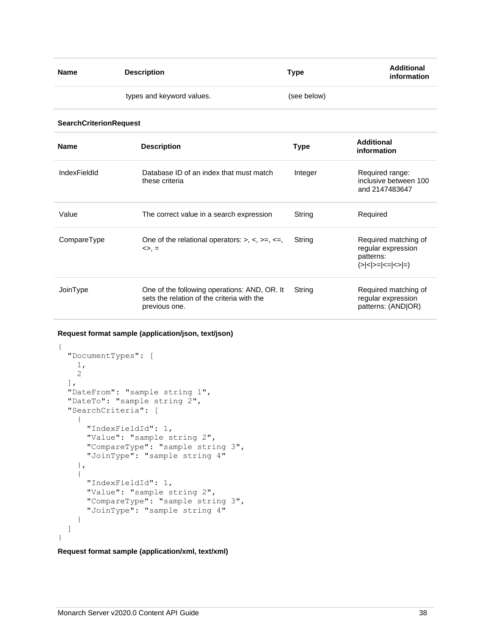| Name | <b>Description</b>        | Type        | <b>Additional</b><br>information |
|------|---------------------------|-------------|----------------------------------|
|      | types and keyword values. | (see below) |                                  |

#### **SearchCriterionRequest**

| <b>Name</b>  | <b>Description</b>                                                                                          | <b>Type</b> | Additional<br>information                                                                                |
|--------------|-------------------------------------------------------------------------------------------------------------|-------------|----------------------------------------------------------------------------------------------------------|
| IndexFieldId | Database ID of an index that must match<br>these criteria                                                   | Integer     | Required range:<br>inclusive between 100<br>and 2147483647                                               |
| Value        | The correct value in a search expression                                                                    | String      | Required                                                                                                 |
| CompareType  | One of the relational operators: $> 0, < 0, < 1, < 1$<br>$\Leftrightarrow$ , $=$                            | String      | Required matching of<br>regular expression<br>patterns:<br>$(\geq  \leq   \geq =  \leq =  \leq   \leq )$ |
| JoinType     | One of the following operations: AND, OR. It<br>sets the relation of the criteria with the<br>previous one. | String      | Required matching of<br>regular expression<br>patterns: (ANDIOR)                                         |

## **Request format sample (application/json, text/json)**

```
{
   "DocumentTypes": [
     1,
     2
  \frac{1}{\sqrt{2}} "DateFrom": "sample string 1",
   "DateTo": "sample string 2",
   "SearchCriteria": [
     {
       "IndexFieldId": 1,
       "Value": "sample string 2",
       "CompareType": "sample string 3",
       "JoinType": "sample string 4"
     },
     {
       "IndexFieldId": 1,
       "Value": "sample string 2",
       "CompareType": "sample string 3",
       "JoinType": "sample string 4"
     }
  \, \, \,}
```
**Request format sample (application/xml, text/xml)**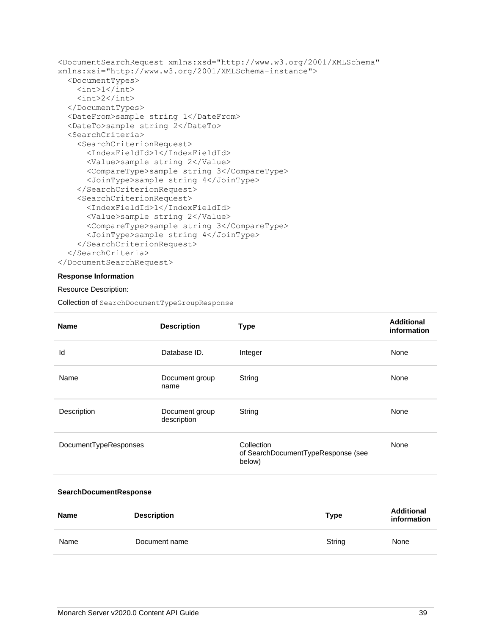```
<DocumentSearchRequest xmlns:xsd="http://www.w3.org/2001/XMLSchema" 
xmlns:xsi="http://www.w3.org/2001/XMLSchema-instance">
   <DocumentTypes>
    \langle \text{int}\rangle1\langle \text{int}\rangle\langle \text{int} \rangle 2 \langle \text{int} \rangle </DocumentTypes>
   <DateFrom>sample string 1</DateFrom>
   <DateTo>sample string 2</DateTo>
   <SearchCriteria>
     <SearchCriterionRequest>
       <IndexFieldId>1</IndexFieldId>
       <Value>sample string 2</Value>
       <CompareType>sample string 3</CompareType>
       <JoinType>sample string 4</JoinType>
     </SearchCriterionRequest>
     <SearchCriterionRequest>
       <IndexFieldId>1</IndexFieldId>
       <Value>sample string 2</Value>
       <CompareType>sample string 3</CompareType>
       <JoinType>sample string 4</JoinType>
     </SearchCriterionRequest>
   </SearchCriteria>
</DocumentSearchRequest>
```
## **Response Information**

#### Resource Description:

Collection of SearchDocumentTypeGroupResponse

| <b>Name</b>            | <b>Description</b>            | <b>Type</b>                                                | <b>Additional</b><br>information |
|------------------------|-------------------------------|------------------------------------------------------------|----------------------------------|
| ld                     | Database ID.                  | Integer                                                    | None                             |
| Name                   | Document group<br>name        | String                                                     | None                             |
| Description            | Document group<br>description | String                                                     | None                             |
| DocumentTypeResponses  |                               | Collection<br>of SearchDocumentTypeResponse (see<br>below) | None                             |
| SearchDocumentResponse |                               |                                                            |                                  |

| <b>Name</b> | <b>Description</b> | Type   | <b>Additional</b><br>information |
|-------------|--------------------|--------|----------------------------------|
| Name        | Document name      | String | None                             |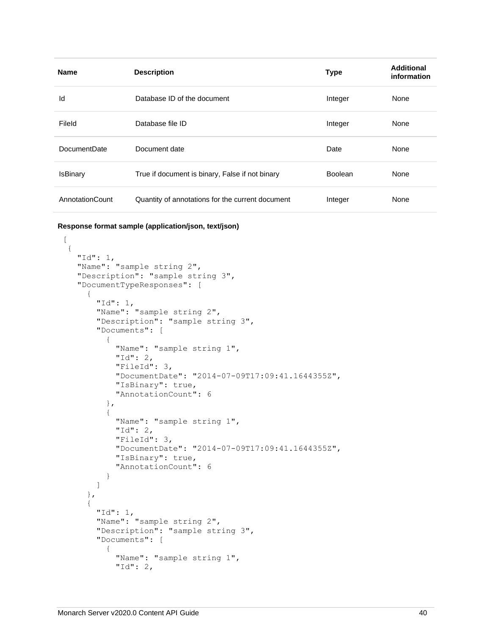| <b>Name</b>         | <b>Description</b>                               | <b>Type</b>    | Additional<br>information |
|---------------------|--------------------------------------------------|----------------|---------------------------|
| Id                  | Database ID of the document                      | Integer        | None                      |
| Fileld              | Database file ID                                 | Integer        | None                      |
| <b>DocumentDate</b> | Document date                                    | Date           | None                      |
| <b>IsBinary</b>     | True if document is binary, False if not binary  | <b>Boolean</b> | None                      |
| AnnotationCount     | Quantity of annotations for the current document | Integer        | None                      |

**Response format sample (application/json, text/json)**

```
\lceil\{ "Id": 1,
     "Name": "sample string 2",
     "Description": "sample string 3",
     "DocumentTypeResponses": [
       {
         "Id": 1,
         "Name": "sample string 2",
         "Description": "sample string 3",
         "Documents": [
           {
             "Name": "sample string 1",
             "Id": 2,
             "FileId": 3,
             "DocumentDate": "2014-07-09T17:09:41.1644355Z",
             "IsBinary": true,
             "AnnotationCount": 6
           },
\{ "Name": "sample string 1",
             "Id": 2,
             "FileId": 3,
             "DocumentDate": "2014-07-09T17:09:41.1644355Z",
             "IsBinary": true,
             "AnnotationCount": 6
           }
         ]
       },
       {
         "Id": 1,
         "Name": "sample string 2",
         "Description": "sample string 3",
         "Documents": [
           {
             "Name": "sample string 1",
             "Id": 2,
```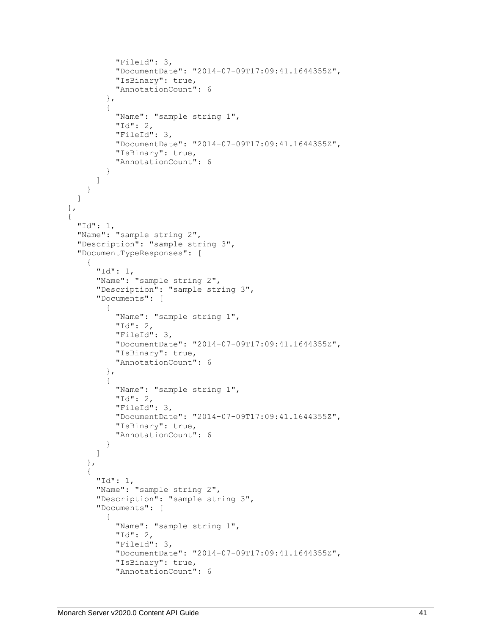```
 "FileId": 3,
             "DocumentDate": "2014-07-09T17:09:41.1644355Z",
             "IsBinary": true,
             "AnnotationCount": 6
           },
\{ "Name": "sample string 1",
             "Id": 2,
             "FileId": 3,
             "DocumentDate": "2014-07-09T17:09:41.1644355Z",
             "IsBinary": true,
             "AnnotationCount": 6
 }
         ]
       }
    ]
  },
  {
    "Id": 1,
     "Name": "sample string 2",
     "Description": "sample string 3",
     "DocumentTypeResponses": [
       {
         "Id": 1,
         "Name": "sample string 2",
         "Description": "sample string 3",
         "Documents": [
           {
             "Name": "sample string 1",
             "Id": 2,
             "FileId": 3,
             "DocumentDate": "2014-07-09T17:09:41.1644355Z",
             "IsBinary": true,
             "AnnotationCount": 6
           },
\{ "Name": "sample string 1",
             "Id": 2,
             "FileId": 3,
             "DocumentDate": "2014-07-09T17:09:41.1644355Z",
             "IsBinary": true,
             "AnnotationCount": 6
 }
         ]
       },
       {
         "Id": 1,
         "Name": "sample string 2",
         "Description": "sample string 3",
         "Documents": [
           {
             "Name": "sample string 1",
             "Id": 2,
             "FileId": 3,
             "DocumentDate": "2014-07-09T17:09:41.1644355Z",
             "IsBinary": true,
             "AnnotationCount": 6
```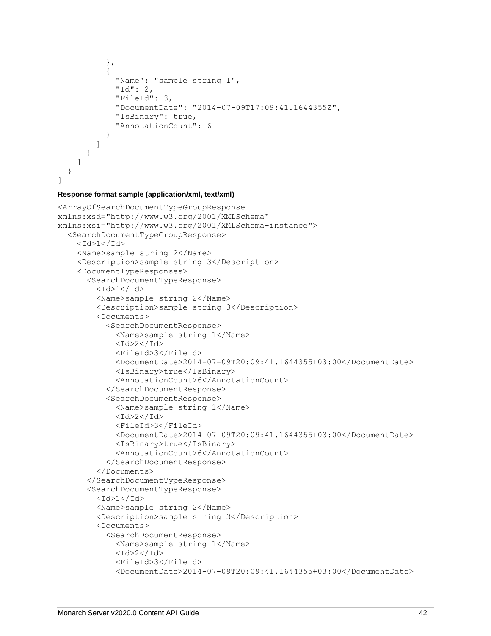```
 },
\{ "Name": "sample string 1",
             "Id": 2,
             "FileId": 3,
             "DocumentDate": "2014-07-09T17:09:41.1644355Z",
             "IsBinary": true,
             "AnnotationCount": 6
 }
         ]
       }
    ]
   }
]
```
#### **Response format sample (application/xml, text/xml)**

```
<ArrayOfSearchDocumentTypeGroupResponse 
xmlns:xsd="http://www.w3.org/2001/XMLSchema" 
xmlns:xsi="http://www.w3.org/2001/XMLSchema-instance">
   <SearchDocumentTypeGroupResponse>
    <Id>1</Id>
     <Name>sample string 2</Name>
     <Description>sample string 3</Description>
     <DocumentTypeResponses>
       <SearchDocumentTypeResponse>
        <Id>1</Id>
         <Name>sample string 2</Name>
         <Description>sample string 3</Description>
         <Documents>
           <SearchDocumentResponse>
             <Name>sample string 1</Name>
            <Id>2</Id>
             <FileId>3</FileId>
             <DocumentDate>2014-07-09T20:09:41.1644355+03:00</DocumentDate>
             <IsBinary>true</IsBinary>
             <AnnotationCount>6</AnnotationCount>
           </SearchDocumentResponse>
           <SearchDocumentResponse>
             <Name>sample string 1</Name>
            <Id>2</Id>
             <FileId>3</FileId>
            <DocumentDate>2014-07-09T20:09:41.1644355+03:00<DocumentDate> <IsBinary>true</IsBinary>
             <AnnotationCount>6</AnnotationCount>
           </SearchDocumentResponse>
         </Documents>
       </SearchDocumentTypeResponse>
       <SearchDocumentTypeResponse>
        <Id>1</Id>
         <Name>sample string 2</Name>
         <Description>sample string 3</Description>
         <Documents>
           <SearchDocumentResponse>
             <Name>sample string 1</Name>
            <Id>2</Id>
             <FileId>3</FileId>
             <DocumentDate>2014-07-09T20:09:41.1644355+03:00</DocumentDate>
```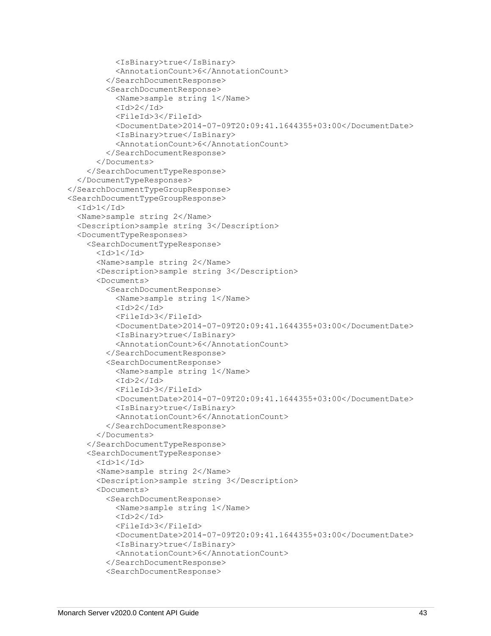```
 <IsBinary>true</IsBinary>
           <AnnotationCount>6</AnnotationCount>
         </SearchDocumentResponse>
         <SearchDocumentResponse>
           <Name>sample string 1</Name>
          <Id>2</Id>
           <FileId>3</FileId>
          <DocumentDate>2014-07-09T20:09:41.1644355+03:00</DocumentDate> <IsBinary>true</IsBinary>
           <AnnotationCount>6</AnnotationCount>
         </SearchDocumentResponse>
       </Documents>
     </SearchDocumentTypeResponse>
   </DocumentTypeResponses>
 </SearchDocumentTypeGroupResponse>
 <SearchDocumentTypeGroupResponse>
  <Id>1</Id>
   <Name>sample string 2</Name>
   <Description>sample string 3</Description>
   <DocumentTypeResponses>
     <SearchDocumentTypeResponse>
      <Id>1</Id>
       <Name>sample string 2</Name>
       <Description>sample string 3</Description>
       <Documents>
         <SearchDocumentResponse>
           <Name>sample string 1</Name>
          <Id>2</Id>
           <FileId>3</FileId>
           <DocumentDate>2014-07-09T20:09:41.1644355+03:00</DocumentDate>
           <IsBinary>true</IsBinary>
           <AnnotationCount>6</AnnotationCount>
         </SearchDocumentResponse>
         <SearchDocumentResponse>
           <Name>sample string 1</Name>
          <Id>2</Id>
           <FileId>3</FileId>
           <DocumentDate>2014-07-09T20:09:41.1644355+03:00</DocumentDate>
           <IsBinary>true</IsBinary>
           <AnnotationCount>6</AnnotationCount>
         </SearchDocumentResponse>
       </Documents>
     </SearchDocumentTypeResponse>
     <SearchDocumentTypeResponse>
      <Id>1</Id>
       <Name>sample string 2</Name>
       <Description>sample string 3</Description>
       <Documents>
         <SearchDocumentResponse>
           <Name>sample string 1</Name>
          <Id>2</Id>
           <FileId>3</FileId>
           <DocumentDate>2014-07-09T20:09:41.1644355+03:00</DocumentDate>
           <IsBinary>true</IsBinary>
           <AnnotationCount>6</AnnotationCount>
         </SearchDocumentResponse>
         <SearchDocumentResponse>
```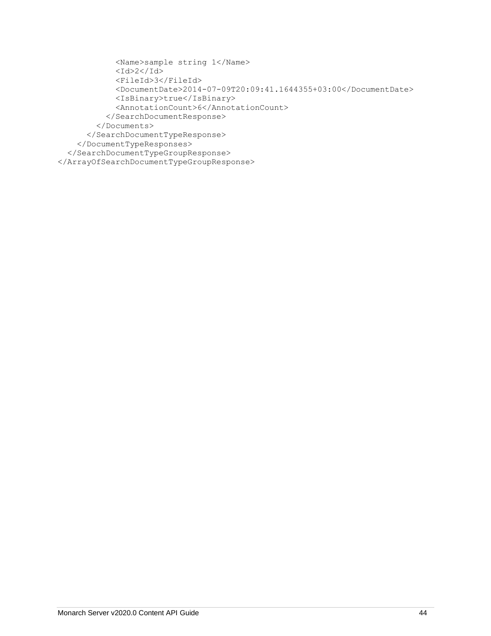```
 <Name>sample string 1</Name>
            <Id>2</Id>
             <FileId>3</FileId>
             <DocumentDate>2014-07-09T20:09:41.1644355+03:00</DocumentDate>
             <IsBinary>true</IsBinary>
             <AnnotationCount>6</AnnotationCount>
           </SearchDocumentResponse>
         </Documents>
       </SearchDocumentTypeResponse>
     </DocumentTypeResponses>
   </SearchDocumentTypeGroupResponse>
</ArrayOfSearchDocumentTypeGroupResponse>
```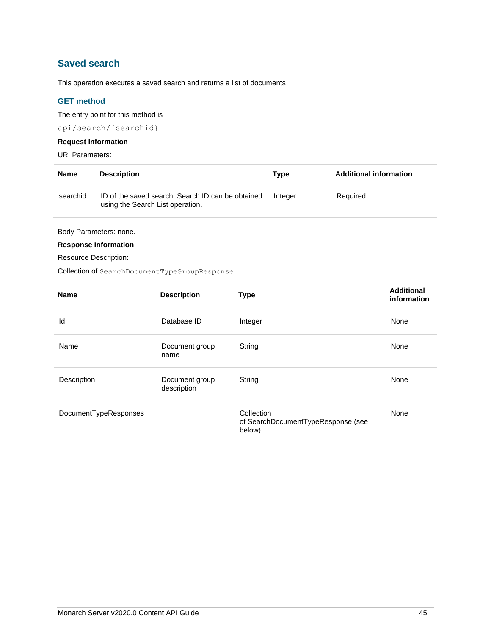# **Saved search**

This operation executes a saved search and returns a list of documents.

## **GET method**

The entry point for this method is

api/search/{searchid}

## **Request Information**

URI Parameters:

| <b>Name</b> | <b>Description</b>                                                                    | Tvpe    | <b>Additional information</b> |
|-------------|---------------------------------------------------------------------------------------|---------|-------------------------------|
| searchid    | ID of the saved search. Search ID can be obtained<br>using the Search List operation. | Integer | Required                      |

Body Parameters: none.

## **Response Information**

Resource Description:

Collection of SearchDocumentTypeGroupResponse

| <b>Name</b>           | <b>Description</b>            | <b>Type</b>                                                | <b>Additional</b><br>information |
|-----------------------|-------------------------------|------------------------------------------------------------|----------------------------------|
| Id                    | Database ID                   | Integer                                                    | None                             |
| Name                  | Document group<br>name        | String                                                     | None                             |
| Description           | Document group<br>description | String                                                     | None                             |
| DocumentTypeResponses |                               | Collection<br>of SearchDocumentTypeResponse (see<br>below) | None                             |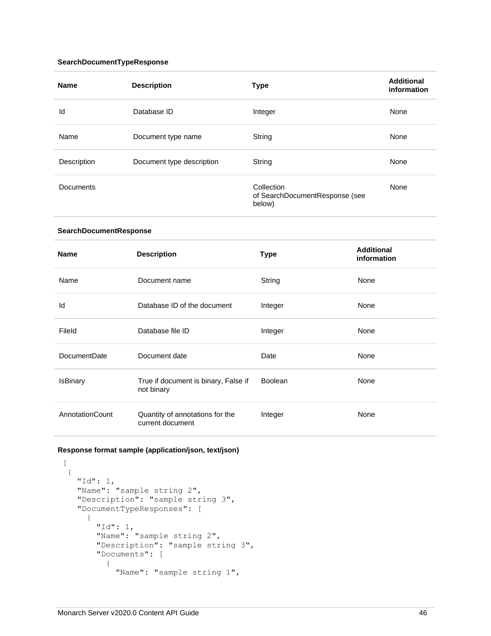## **SearchDocumentTypeResponse**

| <b>Name</b>            | <b>Description</b>                                  | <b>Type</b>                                            | <b>Additional</b><br>information |
|------------------------|-----------------------------------------------------|--------------------------------------------------------|----------------------------------|
| Id                     | Database ID                                         | Integer                                                | None                             |
| Name                   | Document type name                                  | String                                                 | None                             |
| Description            | Document type description                           | String                                                 | None                             |
| <b>Documents</b>       |                                                     | Collection<br>of SearchDocumentResponse (see<br>below) | None                             |
| SearchDocumentResponse |                                                     |                                                        |                                  |
| <b>Name</b>            | <b>Description</b>                                  | <b>Type</b>                                            | <b>Additional</b><br>information |
| Name                   | Document name                                       | String                                                 | None                             |
| Id                     | Database ID of the document                         | Integer                                                | None                             |
| Fileld                 | Database file ID                                    | Integer                                                | None                             |
| DocumentDate           | Document date                                       | Date                                                   | None                             |
| <b>IsBinary</b>        | True if document is binary, False if<br>not binary  | Boolean                                                | None                             |
| AnnotationCount        | Quantity of annotations for the<br>current document | Integer                                                | None                             |

## **Response format sample (application/json, text/json)**

 $\lceil$ 

```
 {
    "Id": 1,
    "Name": "sample string 2",
 "Description": "sample string 3",
 "DocumentTypeResponses": [
      {
        "Id": 1,
 "Name": "sample string 2",
 "Description": "sample string 3",
        "Documents": [
          {
            "Name": "sample string 1",
```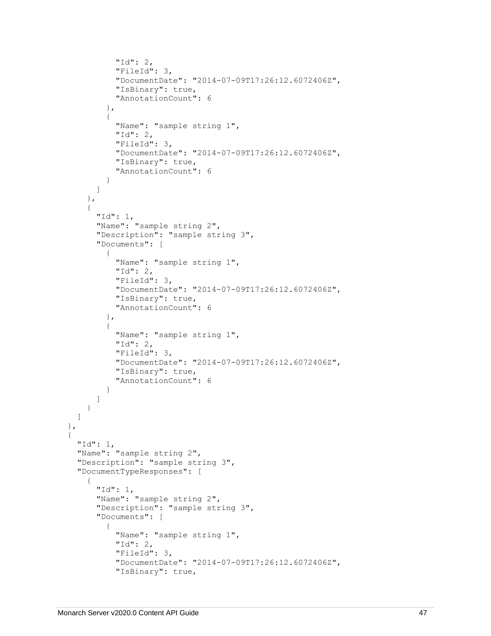```
 "Id": 2,
             "FileId": 3,
             "DocumentDate": "2014-07-09T17:26:12.6072406Z",
             "IsBinary": true,
             "AnnotationCount": 6
           },
\{ "Name": "sample string 1",
             "Id": 2,
             "FileId": 3,
             "DocumentDate": "2014-07-09T17:26:12.6072406Z",
             "IsBinary": true,
             "AnnotationCount": 6
 }
         ]
       },
       {
         "Id": 1,
         "Name": "sample string 2",
         "Description": "sample string 3",
         "Documents": [
           {
             "Name": "sample string 1",
             "Id": 2,
             "FileId": 3,
             "DocumentDate": "2014-07-09T17:26:12.6072406Z",
             "IsBinary": true,
             "AnnotationCount": 6
           },
\{ "Name": "sample string 1",
             "Id": 2,
             "FileId": 3,
             "DocumentDate": "2014-07-09T17:26:12.6072406Z",
             "IsBinary": true,
             "AnnotationCount": 6
 }
         ]
       }
    ]
  },
  {
     "Id": 1,
     "Name": "sample string 2",
     "Description": "sample string 3",
     "DocumentTypeResponses": [
       {
         "Id": 1,
         "Name": "sample string 2",
         "Description": "sample string 3",
         "Documents": [
           {
             "Name": "sample string 1",
             "Id": 2,
             "FileId": 3,
             "DocumentDate": "2014-07-09T17:26:12.6072406Z",
             "IsBinary": true,
```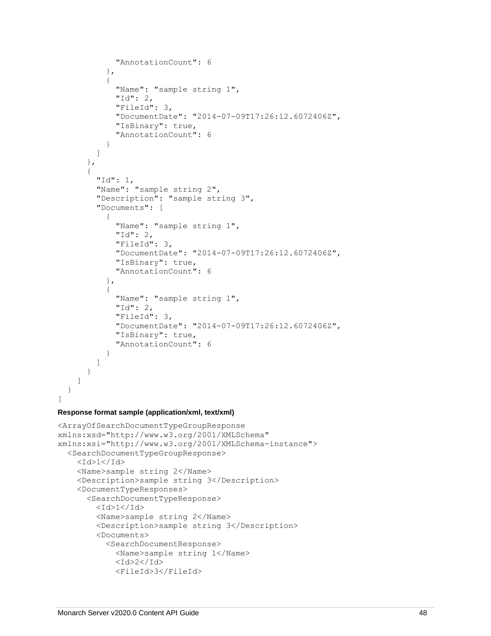```
 "AnnotationCount": 6
           },
\{ "Name": "sample string 1",
             "Id": 2,
             "FileId": 3,
             "DocumentDate": "2014-07-09T17:26:12.6072406Z",
             "IsBinary": true,
             "AnnotationCount": 6
 }
         ]
      },
       {
        "Id": 1,
         "Name": "sample string 2",
         "Description": "sample string 3",
         "Documents": [
\{ "Name": "sample string 1",
             "Id": 2,
             "FileId": 3,
             "DocumentDate": "2014-07-09T17:26:12.6072406Z",
             "IsBinary": true,
             "AnnotationCount": 6
           },
\{ "Name": "sample string 1",
             "Id": 2,
             "FileId": 3,
             "DocumentDate": "2014-07-09T17:26:12.6072406Z",
             "IsBinary": true,
             "AnnotationCount": 6
 }
        ]
      }
    ]
  }
```
#### **Response format sample (application/xml, text/xml)**

]

```
<ArrayOfSearchDocumentTypeGroupResponse 
xmlns:xsd="http://www.w3.org/2001/XMLSchema" 
xmlns:xsi="http://www.w3.org/2001/XMLSchema-instance">
   <SearchDocumentTypeGroupResponse>
    <Id>1</Id>
     <Name>sample string 2</Name>
     <Description>sample string 3</Description>
     <DocumentTypeResponses>
       <SearchDocumentTypeResponse>
        <Id>1</Id>
         <Name>sample string 2</Name>
         <Description>sample string 3</Description>
         <Documents>
           <SearchDocumentResponse>
             <Name>sample string 1</Name>
            <Id>2</Id>
             <FileId>3</FileId>
```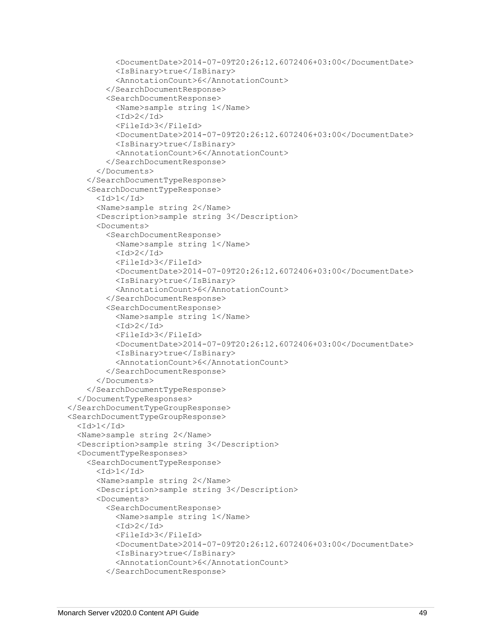```
 <DocumentDate>2014-07-09T20:26:12.6072406+03:00</DocumentDate>
           <IsBinary>true</IsBinary>
           <AnnotationCount>6</AnnotationCount>
         </SearchDocumentResponse>
         <SearchDocumentResponse>
           <Name>sample string 1</Name>
          <Id>2</Id>
           <FileId>3</FileId>
           <DocumentDate>2014-07-09T20:26:12.6072406+03:00</DocumentDate>
           <IsBinary>true</IsBinary>
           <AnnotationCount>6</AnnotationCount>
         </SearchDocumentResponse>
       </Documents>
     </SearchDocumentTypeResponse>
     <SearchDocumentTypeResponse>
      <Id>1</Id>
       <Name>sample string 2</Name>
       <Description>sample string 3</Description>
       <Documents>
         <SearchDocumentResponse>
           <Name>sample string 1</Name>
          <Id>2</Id>
           <FileId>3</FileId>
           <DocumentDate>2014-07-09T20:26:12.6072406+03:00</DocumentDate>
           <IsBinary>true</IsBinary>
           <AnnotationCount>6</AnnotationCount>
         </SearchDocumentResponse>
         <SearchDocumentResponse>
           <Name>sample string 1</Name>
          <Id>2</Id>
           <FileId>3</FileId>
          <DocumentDate>2014-07-09T20:26:12.6072406+03:00</DocumentDate>
           <IsBinary>true</IsBinary>
           <AnnotationCount>6</AnnotationCount>
         </SearchDocumentResponse>
       </Documents>
     </SearchDocumentTypeResponse>
   </DocumentTypeResponses>
 </SearchDocumentTypeGroupResponse>
 <SearchDocumentTypeGroupResponse>
  <Id>1</Id>
   <Name>sample string 2</Name>
   <Description>sample string 3</Description>
   <DocumentTypeResponses>
     <SearchDocumentTypeResponse>
      <Id>1</Id>
       <Name>sample string 2</Name>
       <Description>sample string 3</Description>
       <Documents>
         <SearchDocumentResponse>
           <Name>sample string 1</Name>
          <Id>2</Id>
           <FileId>3</FileId>
           <DocumentDate>2014-07-09T20:26:12.6072406+03:00</DocumentDate>
           <IsBinary>true</IsBinary>
           <AnnotationCount>6</AnnotationCount>
         </SearchDocumentResponse>
```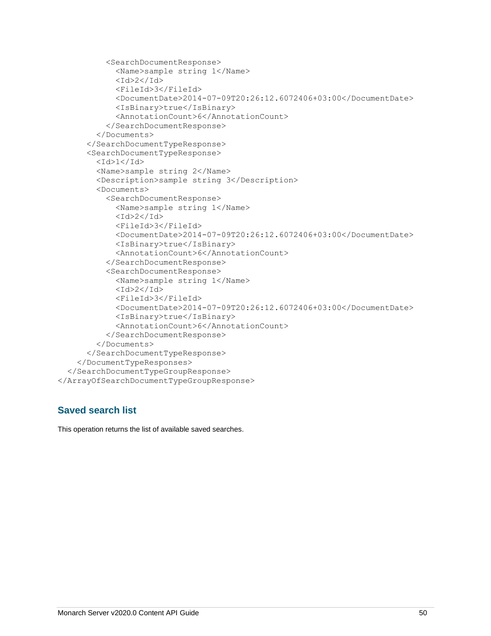```
 <SearchDocumentResponse>
             <Name>sample string 1</Name>
            <Id>2</Id>
             <FileId>3</FileId>
             <DocumentDate>2014-07-09T20:26:12.6072406+03:00</DocumentDate>
             <IsBinary>true</IsBinary>
             <AnnotationCount>6</AnnotationCount>
           </SearchDocumentResponse>
         </Documents>
       </SearchDocumentTypeResponse>
       <SearchDocumentTypeResponse>
        <Id>1</Id>
         <Name>sample string 2</Name>
         <Description>sample string 3</Description>
         <Documents>
           <SearchDocumentResponse>
             <Name>sample string 1</Name>
            <Id>2</Id>
             <FileId>3</FileId>
             <DocumentDate>2014-07-09T20:26:12.6072406+03:00</DocumentDate>
             <IsBinary>true</IsBinary>
             <AnnotationCount>6</AnnotationCount>
           </SearchDocumentResponse>
           <SearchDocumentResponse>
             <Name>sample string 1</Name>
            <Id>2</Id>
             <FileId>3</FileId>
             <DocumentDate>2014-07-09T20:26:12.6072406+03:00</DocumentDate>
             <IsBinary>true</IsBinary>
             <AnnotationCount>6</AnnotationCount>
           </SearchDocumentResponse>
         </Documents>
       </SearchDocumentTypeResponse>
     </DocumentTypeResponses>
   </SearchDocumentTypeGroupResponse>
</ArrayOfSearchDocumentTypeGroupResponse>
```
# **Saved search list**

This operation returns the list of available saved searches.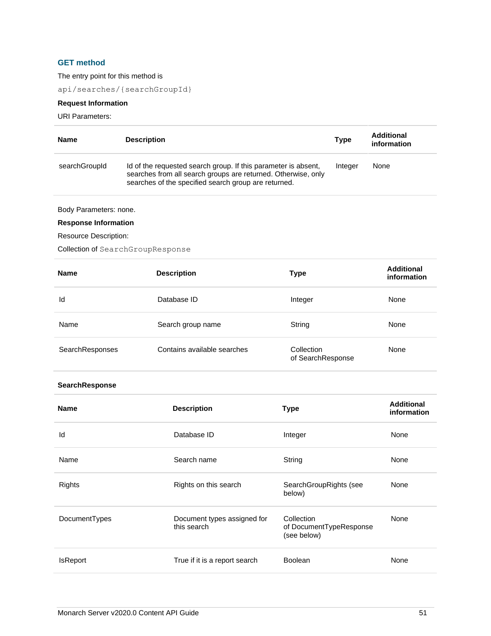## **GET method**

The entry point for this method is

api/searches/{searchGroupId}

## **Request Information**

URI Parameters:

| <b>Name</b>   | <b>Description</b>                                                                                                                                                                      | <b>Type</b> | <b>Additional</b><br>information |
|---------------|-----------------------------------------------------------------------------------------------------------------------------------------------------------------------------------------|-------------|----------------------------------|
| searchGroupId | Id of the requested search group. If this parameter is absent,<br>searches from all search groups are returned. Otherwise, only<br>searches of the specified search group are returned. | Integer     | None                             |

Body Parameters: none.

## **Response Information**

Resource Description:

Collection of SearchGroupResponse

| <b>Name</b>     | <b>Description</b>          | Type                            | <b>Additional</b><br>information |
|-----------------|-----------------------------|---------------------------------|----------------------------------|
| Id              | Database ID                 | Integer                         | None                             |
| Name            | Search group name           | String                          | None                             |
| SearchResponses | Contains available searches | Collection<br>of SearchResponse | None                             |

## **SearchResponse**

| <b>Name</b>     | <b>Description</b>                         | <b>Type</b>                                          | <b>Additional</b><br>information |
|-----------------|--------------------------------------------|------------------------------------------------------|----------------------------------|
| Id              | Database ID                                | Integer                                              | None                             |
| Name            | Search name                                | String                                               | None                             |
| Rights          | Rights on this search                      | SearchGroupRights (see<br>below)                     | None                             |
| DocumentTypes   | Document types assigned for<br>this search | Collection<br>of DocumentTypeResponse<br>(see below) | None                             |
| <b>IsReport</b> | True if it is a report search              | Boolean                                              | None                             |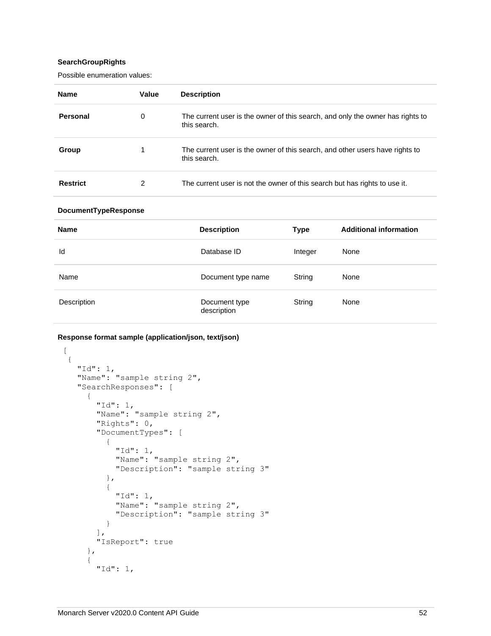## **SearchGroupRights**

Possible enumeration values:

| <b>Name</b>     | Value | <b>Description</b>                                                                             |
|-----------------|-------|------------------------------------------------------------------------------------------------|
| Personal        | 0     | The current user is the owner of this search, and only the owner has rights to<br>this search. |
| Group           |       | The current user is the owner of this search, and other users have rights to<br>this search.   |
| <b>Restrict</b> | 2     | The current user is not the owner of this search but has rights to use it.                     |

## **DocumentTypeResponse**

| <b>Name</b> | <b>Description</b>           | Type    | <b>Additional information</b> |
|-------------|------------------------------|---------|-------------------------------|
| Id          | Database ID                  | Integer | None                          |
| Name        | Document type name           | String  | None                          |
| Description | Document type<br>description | String  | None                          |

## **Response format sample (application/json, text/json)**

```
\lceil {
 "Id": 1,
 "Name": "sample string 2",
    "SearchResponses": [
      {
        "Id": 1,
        "Name": "sample string 2",
        "Rights": 0,
        "DocumentTypes": [
          {
            "Id": 1,
            "Name": "sample string 2",
            "Description": "sample string 3"
          },
 {
 "Id": 1,
 "Name": "sample string 2",
            "Description": "sample string 3"
          }
        ],
        "IsReport": true
      },
      {
        "Id": 1,
```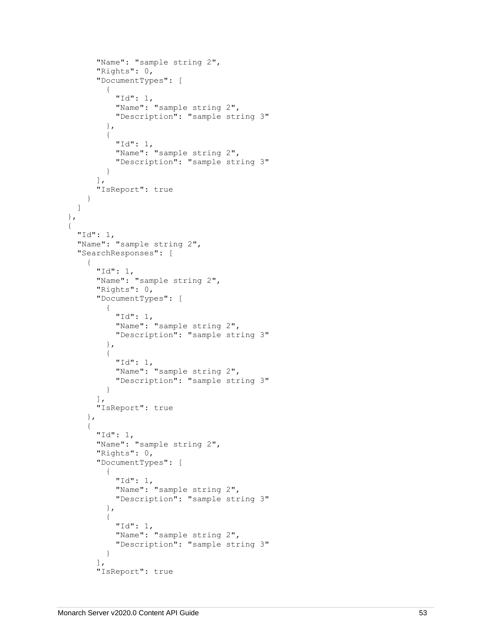```
 "Name": "sample string 2",
       "Rights": 0,
       "DocumentTypes": [
         {
            "Id": 1,
            "Name": "sample string 2",
            "Description": "sample string 3"
          },
         {
            "Id": 1,
            "Name": "sample string 2",
            "Description": "sample string 3"
         }
       ],
       "IsReport": true
    }
  ]
 },
{
   "Id": 1,
  "Name": "sample string 2",
   "SearchResponses": [
    {
       "Id": 1,
       "Name": "sample string 2",
       "Rights": 0,
       "DocumentTypes": [
         {
            "Id": 1,
            "Name": "sample string 2",
            "Description": "sample string 3"
          },
         {
            "Id": 1,
            "Name": "sample string 2",
            "Description": "sample string 3"
         }
      \, \, \, "IsReport": true
     },
    {
       "Id": 1,
       "Name": "sample string 2",
       "Rights": 0,
       "DocumentTypes": [
         {
            "Id": 1,
            "Name": "sample string 2",
            "Description": "sample string 3"
          },
         {
            "Id": 1,
            "Name": "sample string 2",
            "Description": "sample string 3"
         }
      \left.\right] ,
       "IsReport": true
```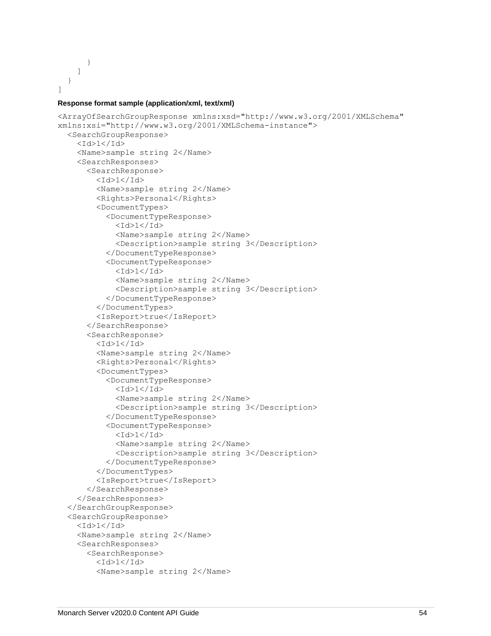```
 }
         ]
     }
]
```
## **Response format sample (application/xml, text/xml)**

```
<ArrayOfSearchGroupResponse xmlns:xsd="http://www.w3.org/2001/XMLSchema" 
xmlns:xsi="http://www.w3.org/2001/XMLSchema-instance">
   <SearchGroupResponse>
    <Id>1</Id>
     <Name>sample string 2</Name>
     <SearchResponses>
       <SearchResponse>
        <Id>1</Id>
         <Name>sample string 2</Name>
         <Rights>Personal</Rights>
         <DocumentTypes>
           <DocumentTypeResponse>
            <Id>1</Id>
             <Name>sample string 2</Name>
             <Description>sample string 3</Description>
           </DocumentTypeResponse>
           <DocumentTypeResponse>
            <Id>1</Id>
             <Name>sample string 2</Name>
             <Description>sample string 3</Description>
           </DocumentTypeResponse>
         </DocumentTypes>
         <IsReport>true</IsReport>
       </SearchResponse>
       <SearchResponse>
        <Id>1</Id>
         <Name>sample string 2</Name>
         <Rights>Personal</Rights>
         <DocumentTypes>
           <DocumentTypeResponse>
            <Id>1</Id>
             <Name>sample string 2</Name>
             <Description>sample string 3</Description>
           </DocumentTypeResponse>
           <DocumentTypeResponse>
            <Id>1</Id>
             <Name>sample string 2</Name>
             <Description>sample string 3</Description>
           </DocumentTypeResponse>
         </DocumentTypes>
         <IsReport>true</IsReport>
       </SearchResponse>
     </SearchResponses>
   </SearchGroupResponse>
   <SearchGroupResponse>
    <Id>1</Id>
     <Name>sample string 2</Name>
     <SearchResponses>
       <SearchResponse>
        <Id>1</Id>
         <Name>sample string 2</Name>
```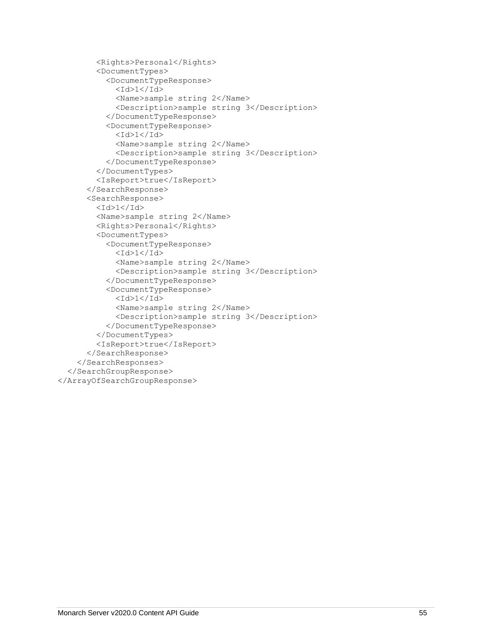```
 <Rights>Personal</Rights>
         <DocumentTypes>
           <DocumentTypeResponse>
            <Id>1</Id>
             <Name>sample string 2</Name>
             <Description>sample string 3</Description>
           </DocumentTypeResponse>
           <DocumentTypeResponse>
            <Id>1</Id>
             <Name>sample string 2</Name>
             <Description>sample string 3</Description>
           </DocumentTypeResponse>
         </DocumentTypes>
         <IsReport>true</IsReport>
       </SearchResponse>
       <SearchResponse>
        <Id>1</Id>
         <Name>sample string 2</Name>
         <Rights>Personal</Rights>
         <DocumentTypes>
           <DocumentTypeResponse>
            <Id>1</Id>
             <Name>sample string 2</Name>
             <Description>sample string 3</Description>
           </DocumentTypeResponse>
           <DocumentTypeResponse>
            <Id>1</Id>
             <Name>sample string 2</Name>
             <Description>sample string 3</Description>
           </DocumentTypeResponse>
         </DocumentTypes>
         <IsReport>true</IsReport>
       </SearchResponse>
     </SearchResponses>
   </SearchGroupResponse>
</ArrayOfSearchGroupResponse>
```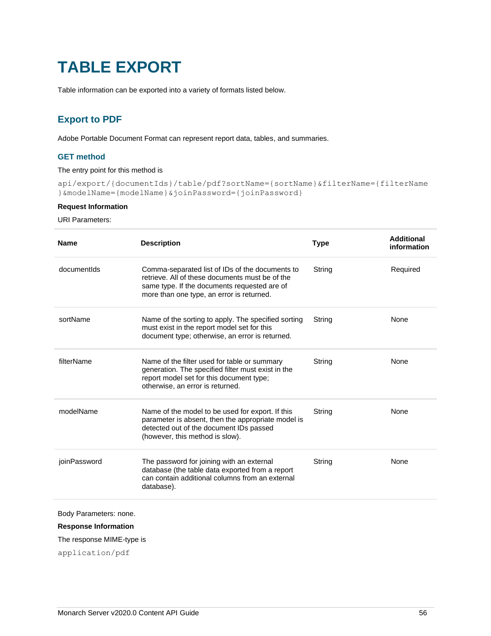# **TABLE EXPORT**

Table information can be exported into a variety of formats listed below.

# **Export to PDF**

Adobe Portable Document Format can represent report data, tables, and summaries.

## **GET method**

## The entry point for this method is

api/export/{documentIds}/table/pdf?sortName={sortName}&filterName={filterName }&modelName={modelName}&joinPassword={joinPassword}

## **Request Information**

## URI Parameters:

| <b>Name</b>  | <b>Description</b>                                                                                                                                                                              | <b>Type</b> | <b>Additional</b><br>information |
|--------------|-------------------------------------------------------------------------------------------------------------------------------------------------------------------------------------------------|-------------|----------------------------------|
| documentIds  | Comma-separated list of IDs of the documents to<br>retrieve. All of these documents must be of the<br>same type. If the documents requested are of<br>more than one type, an error is returned. | String      | Required                         |
| sortName     | Name of the sorting to apply. The specified sorting<br>must exist in the report model set for this<br>document type; otherwise, an error is returned.                                           | String      | <b>None</b>                      |
| filterName   | Name of the filter used for table or summary<br>generation. The specified filter must exist in the<br>report model set for this document type;<br>otherwise, an error is returned.              | String      | None                             |
| modelName    | Name of the model to be used for export. If this<br>parameter is absent, then the appropriate model is<br>detected out of the document IDs passed<br>(however, this method is slow).            | String      | None                             |
| joinPassword | The password for joining with an external<br>database (the table data exported from a report<br>can contain additional columns from an external<br>database).                                   | String      | None                             |

Body Parameters: none.

## **Response Information**

## The response MIME-type is

application/pdf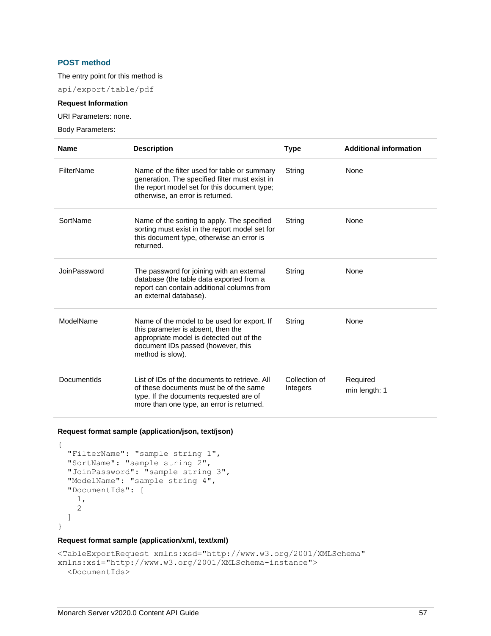## **POST method**

#### The entry point for this method is

api/export/table/pdf

#### **Request Information**

URI Parameters: none.

Body Parameters:

| <b>Name</b>  | <b>Description</b>                                                                                                                                                                      | <b>Type</b>               | <b>Additional information</b> |
|--------------|-----------------------------------------------------------------------------------------------------------------------------------------------------------------------------------------|---------------------------|-------------------------------|
| FilterName   | Name of the filter used for table or summary<br>generation. The specified filter must exist in<br>the report model set for this document type;<br>otherwise, an error is returned.      | String                    | None                          |
| SortName     | Name of the sorting to apply. The specified<br>sorting must exist in the report model set for<br>this document type, otherwise an error is<br>returned.                                 | String                    | None                          |
| JoinPassword | The password for joining with an external<br>database (the table data exported from a<br>report can contain additional columns from<br>an external database).                           | String                    | None                          |
| ModelName    | Name of the model to be used for export. If<br>this parameter is absent, then the<br>appropriate model is detected out of the<br>document IDs passed (however, this<br>method is slow). | String                    | None                          |
| DocumentIds  | List of IDs of the documents to retrieve. All<br>of these documents must be of the same<br>type. If the documents requested are of<br>more than one type, an error is returned.         | Collection of<br>Integers | Required<br>min length: 1     |

## **Request format sample (application/json, text/json)**

```
{
  "FilterName": "sample string 1",
  "SortName": "sample string 2",
  "JoinPassword": "sample string 3",
  "ModelName": "sample string 4",
  "DocumentIds": [
    1,
     2
  ]
}
```
#### **Request format sample (application/xml, text/xml)**

```
<TableExportRequest xmlns:xsd="http://www.w3.org/2001/XMLSchema" 
xmlns:xsi="http://www.w3.org/2001/XMLSchema-instance">
   <DocumentIds>
```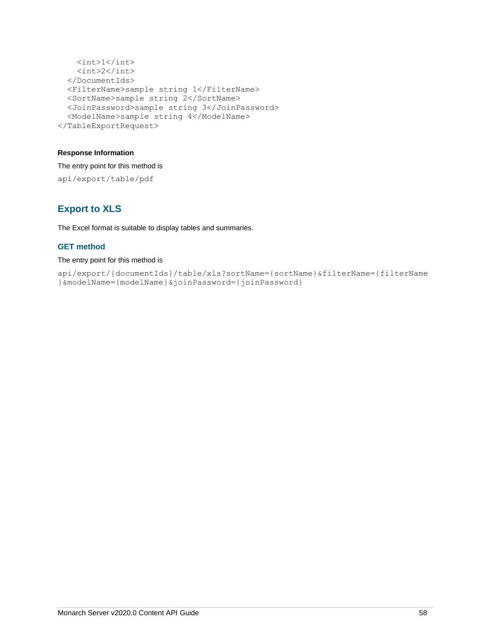```
\langle \text{int}>1 \langle \text{int}\rangle <int>2</int>
   </DocumentIds>
   <FilterName>sample string 1</FilterName>
   <SortName>sample string 2</SortName>
   <JoinPassword>sample string 3</JoinPassword>
   <ModelName>sample string 4</ModelName>
</TableExportRequest>
```
## **Response Information**

The entry point for this method is api/export/table/pdf

# **Export to XLS**

The Excel format is suitable to display tables and summaries.

## **GET method**

#### The entry point for this method is

```
api/export/{documentIds}/table/xls?sortName={sortName}&filterName={filterName
}&modelName={modelName}&joinPassword={joinPassword}
```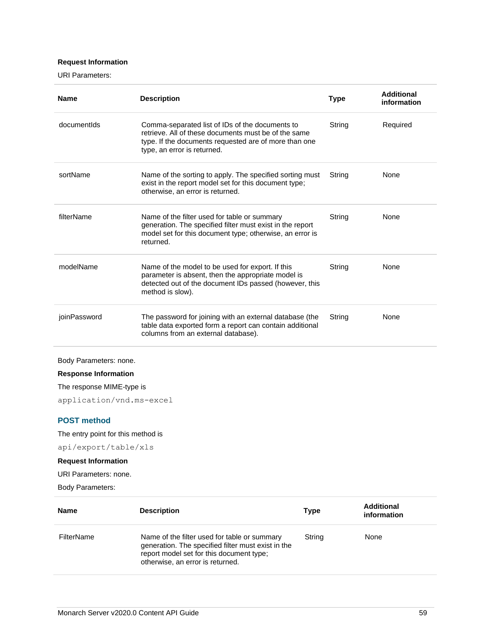## **Request Information**

URI Parameters:

| <b>Name</b>                 | <b>Description</b>                                                                                                                                                                              | <b>Type</b> | <b>Additional</b><br>information |  |
|-----------------------------|-------------------------------------------------------------------------------------------------------------------------------------------------------------------------------------------------|-------------|----------------------------------|--|
| documentIds                 | Comma-separated list of IDs of the documents to<br>retrieve. All of these documents must be of the same<br>type. If the documents requested are of more than one<br>type, an error is returned. | String      | Required                         |  |
| sortName                    | Name of the sorting to apply. The specified sorting must<br>exist in the report model set for this document type;<br>otherwise, an error is returned.                                           | String      | None                             |  |
| filterName                  | Name of the filter used for table or summary<br>generation. The specified filter must exist in the report<br>model set for this document type; otherwise, an error is<br>returned.              | String      | None                             |  |
| modelName                   | Name of the model to be used for export. If this<br>parameter is absent, then the appropriate model is<br>detected out of the document IDs passed (however, this<br>method is slow).            | String      | None                             |  |
| joinPassword                | The password for joining with an external database (the<br>table data exported form a report can contain additional<br>columns from an external database).                                      | String      | None                             |  |
| Body Parameters: none.      |                                                                                                                                                                                                 |             |                                  |  |
| <b>Response Information</b> |                                                                                                                                                                                                 |             |                                  |  |
| The response MIME-type is   |                                                                                                                                                                                                 |             |                                  |  |
| application/vnd.ms-excel    |                                                                                                                                                                                                 |             |                                  |  |

## **POST method**

The entry point for this method is

api/export/table/xls

## **Request Information**

URI Parameters: none.

Body Parameters:

| <b>Name</b> | <b>Description</b>                                                                                                                                                                 | <b>Type</b> | <b>Additional</b><br>information |
|-------------|------------------------------------------------------------------------------------------------------------------------------------------------------------------------------------|-------------|----------------------------------|
| FilterName  | Name of the filter used for table or summary<br>generation. The specified filter must exist in the<br>report model set for this document type;<br>otherwise, an error is returned. | String      | None                             |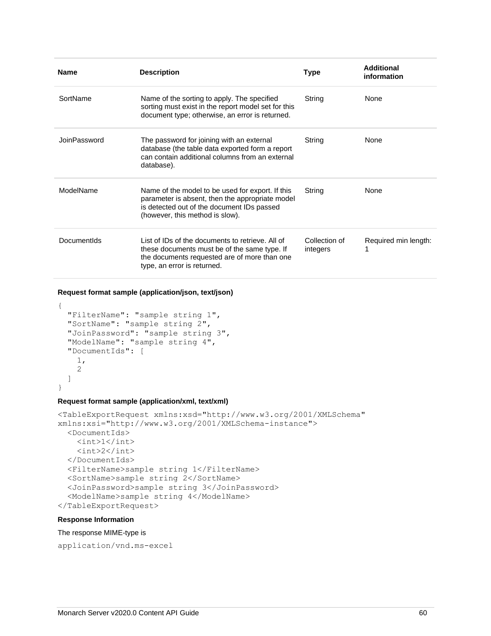| <b>Name</b>  | <b>Description</b>                                                                                                                                                                   | <b>Type</b>               | Additional<br>information |
|--------------|--------------------------------------------------------------------------------------------------------------------------------------------------------------------------------------|---------------------------|---------------------------|
| SortName     | Name of the sorting to apply. The specified<br>sorting must exist in the report model set for this<br>document type; otherwise, an error is returned.                                | String                    | None                      |
| JoinPassword | The password for joining with an external<br>database (the table data exported form a report<br>can contain additional columns from an external<br>database).                        | String                    | None                      |
| ModelName    | Name of the model to be used for export. If this<br>parameter is absent, then the appropriate model<br>is detected out of the document IDs passed<br>(however, this method is slow). | String                    | None                      |
| Documentids  | List of IDs of the documents to retrieve. All of<br>these documents must be of the same type. If<br>the documents requested are of more than one<br>type, an error is returned.      | Collection of<br>integers | Required min length:      |

**Request format sample (application/json, text/json)**

```
{
  "FilterName": "sample string 1",
  "SortName": "sample string 2",
  "JoinPassword": "sample string 3",
  "ModelName": "sample string 4",
  "DocumentIds": [
     1,
     2
  ]
}
```
## **Request format sample (application/xml, text/xml)**

```
<TableExportRequest xmlns:xsd="http://www.w3.org/2001/XMLSchema" 
xmlns:xsi="http://www.w3.org/2001/XMLSchema-instance">
   <DocumentIds>
    \langle \text{int}>1 \langle \text{int}\rangle\langle \text{int} \rangle2\langle \text{int} \rangle </DocumentIds>
   <FilterName>sample string 1</FilterName>
   <SortName>sample string 2</SortName>
   <JoinPassword>sample string 3</JoinPassword>
   <ModelName>sample string 4</ModelName>
</TableExportRequest>
```
#### **Response Information**

#### The response MIME-type is

application/vnd.ms-excel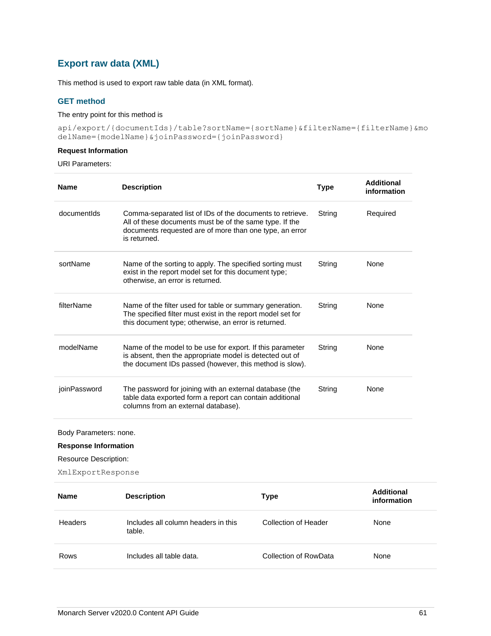# **Export raw data (XML)**

This method is used to export raw table data (in XML format).

## **GET method**

## The entry point for this method is

api/export/{documentIds}/table?sortName={sortName}&filterName={filterName}&mo delName={modelName}&joinPassword={joinPassword}

## **Request Information**

## URI Parameters:

| <b>Name</b>  | <b>Description</b>                                                                                                                                                                              | Type   | <b>Additional</b><br>information |
|--------------|-------------------------------------------------------------------------------------------------------------------------------------------------------------------------------------------------|--------|----------------------------------|
| documentids  | Comma-separated list of IDs of the documents to retrieve.<br>All of these documents must be of the same type. If the<br>documents requested are of more than one type, an error<br>is returned. | String | Required                         |
| sortName     | Name of the sorting to apply. The specified sorting must<br>exist in the report model set for this document type;<br>otherwise, an error is returned.                                           | String | <b>None</b>                      |
| filterName   | Name of the filter used for table or summary generation.<br>The specified filter must exist in the report model set for<br>this document type; otherwise, an error is returned.                 | String | <b>None</b>                      |
| modelName    | Name of the model to be use for export. If this parameter<br>is absent, then the appropriate model is detected out of<br>the document IDs passed (however, this method is slow).                | String | None                             |
| joinPassword | The password for joining with an external database (the<br>table data exported form a report can contain additional<br>columns from an external database).                                      | String | None                             |

Body Parameters: none.

**Response Information**

Resource Description:

XmlExportResponse

| <b>Name</b> | <b>Description</b>                            | Type                  | Additional<br>information |
|-------------|-----------------------------------------------|-----------------------|---------------------------|
| Headers     | Includes all column headers in this<br>table. | Collection of Header  | None                      |
| Rows        | Includes all table data.                      | Collection of RowData | None                      |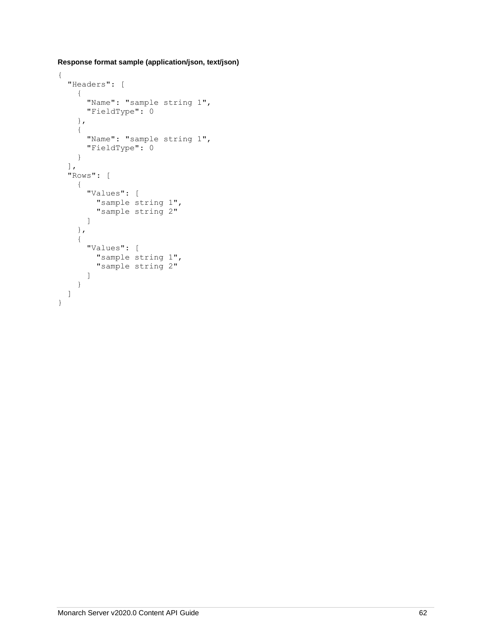**Response format sample (application/json, text/json)**

```
{
   "Headers": [
     {
       "Name": "sample string 1",
       "FieldType": 0
     },
     {
       "Name": "sample string 1",
       "FieldType": 0
     }
   ],
   "Rows": [
     {
       "Values": [
         "sample string 1",
         "sample string 2"
      \, \, \, },
     {
       "Values": [
          "sample string 1",
          "sample string 2"
       ]
     }
   ]
}
```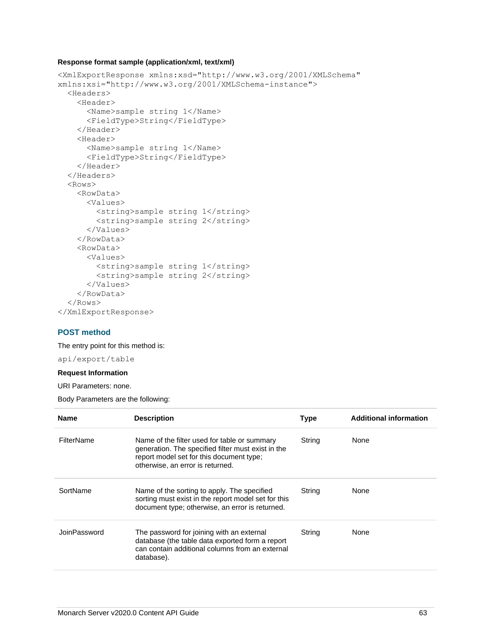## **Response format sample (application/xml, text/xml)**

```
<XmlExportResponse xmlns:xsd="http://www.w3.org/2001/XMLSchema" 
xmlns:xsi="http://www.w3.org/2001/XMLSchema-instance">
   <Headers>
     <Header>
       <Name>sample string 1</Name>
       <FieldType>String</FieldType>
     </Header>
     <Header>
       <Name>sample string 1</Name>
       <FieldType>String</FieldType>
     </Header>
   </Headers>
   <Rows>
     <RowData>
       <Values>
         <string>sample string 1</string>
         <string>sample string 2</string>
       </Values>
     </RowData>
     <RowData>
       <Values>
         <string>sample string 1</string>
         <string>sample string 2</string>
       </Values>
     </RowData>
   </Rows>
</XmlExportResponse>
```
## **POST method**

The entry point for this method is:

api/export/table

#### **Request Information**

URI Parameters: none.

Body Parameters are the following:

| <b>Name</b>       | <b>Description</b>                                                                                                                                                                 | <b>Type</b> | <b>Additional information</b> |
|-------------------|------------------------------------------------------------------------------------------------------------------------------------------------------------------------------------|-------------|-------------------------------|
| <b>FilterName</b> | Name of the filter used for table or summary<br>generation. The specified filter must exist in the<br>report model set for this document type;<br>otherwise, an error is returned. | String      | None                          |
| SortName          | Name of the sorting to apply. The specified<br>sorting must exist in the report model set for this<br>document type; otherwise, an error is returned.                              | String      | None                          |
| JoinPassword      | The password for joining with an external<br>database (the table data exported form a report<br>can contain additional columns from an external<br>database).                      | String      | None                          |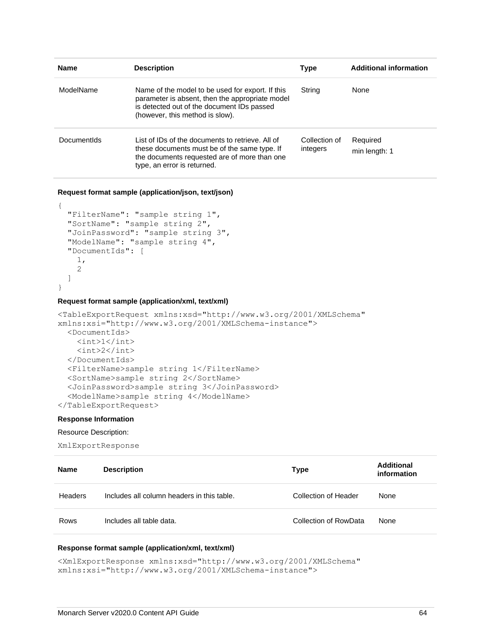| <b>Name</b> | <b>Description</b>                                                                                                                                                                   | Type                      | <b>Additional information</b> |
|-------------|--------------------------------------------------------------------------------------------------------------------------------------------------------------------------------------|---------------------------|-------------------------------|
| ModelName   | Name of the model to be used for export. If this<br>parameter is absent, then the appropriate model<br>is detected out of the document IDs passed<br>(however, this method is slow). | String                    | None                          |
| Documentids | List of IDs of the documents to retrieve. All of<br>these documents must be of the same type. If<br>the documents requested are of more than one<br>type, an error is returned.      | Collection of<br>integers | Required<br>min length: 1     |

**Request format sample (application/json, text/json)**

```
{
  "FilterName": "sample string 1",
  "SortName": "sample string 2",
  "JoinPassword": "sample string 3",
   "ModelName": "sample string 4",
  "DocumentIds": [
     1,
     2
  ]
}
```
#### **Request format sample (application/xml, text/xml)**

```
<TableExportRequest xmlns:xsd="http://www.w3.org/2001/XMLSchema" 
xmlns:xsi="http://www.w3.org/2001/XMLSchema-instance">
   <DocumentIds>
    \langleint>1\langleint>
     <int>2</int>
   </DocumentIds>
   <FilterName>sample string 1</FilterName>
   <SortName>sample string 2</SortName>
   <JoinPassword>sample string 3</JoinPassword>
   <ModelName>sample string 4</ModelName>
</TableExportRequest>
```
#### **Response Information**

#### Resource Description:

XmlExportResponse

| <b>Name</b> | <b>Description</b>                         | Type                  | Additional<br>information |
|-------------|--------------------------------------------|-----------------------|---------------------------|
| Headers     | Includes all column headers in this table. | Collection of Header  | None                      |
| Rows        | Includes all table data.                   | Collection of RowData | None                      |

#### **Response format sample (application/xml, text/xml)**

<XmlExportResponse xmlns:xsd="http://www.w3.org/2001/XMLSchema" xmlns:xsi="http://www.w3.org/2001/XMLSchema-instance">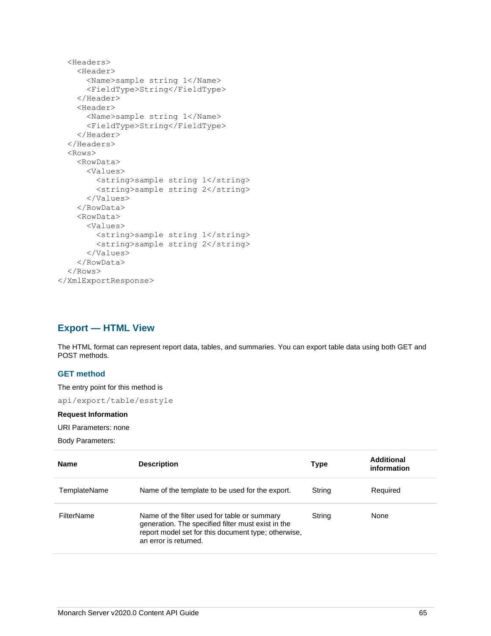```
 <Headers>
     <Header>
       <Name>sample string 1</Name>
       <FieldType>String</FieldType>
     </Header>
     <Header>
       <Name>sample string 1</Name>
       <FieldType>String</FieldType>
     </Header>
   </Headers>
   <Rows>
     <RowData>
       <Values>
        <string>sample string 1</string>
         <string>sample string 2</string>
       </Values>
     </RowData>
     <RowData>
       <Values>
        <string>sample string 1</string>
         <string>sample string 2</string>
       </Values>
     </RowData>
   </Rows>
</XmlExportResponse>
```
# **Export — HTML View**

The HTML format can represent report data, tables, and summaries. You can export table data using both GET and POST methods.

## **GET method**

The entry point for this method is

api/export/table/esstyle

#### **Request Information**

URI Parameters: none

Body Parameters:

| <b>Name</b>  | <b>Description</b>                                                                                                                                                                 | Type   | <b>Additional</b><br>information |
|--------------|------------------------------------------------------------------------------------------------------------------------------------------------------------------------------------|--------|----------------------------------|
| TemplateName | Name of the template to be used for the export.                                                                                                                                    | String | Required                         |
| FilterName   | Name of the filter used for table or summary<br>generation. The specified filter must exist in the<br>report model set for this document type; otherwise,<br>an error is returned. | String | None                             |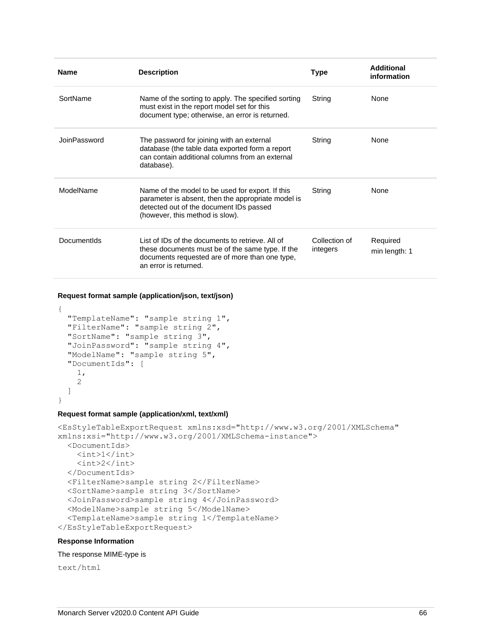| <b>Name</b>  | <b>Description</b>                                                                                                                                                                   | <b>Type</b>               | Additional<br>information |
|--------------|--------------------------------------------------------------------------------------------------------------------------------------------------------------------------------------|---------------------------|---------------------------|
| SortName     | Name of the sorting to apply. The specified sorting<br>must exist in the report model set for this<br>document type; otherwise, an error is returned.                                | String                    | None                      |
| JoinPassword | The password for joining with an external<br>database (the table data exported form a report<br>can contain additional columns from an external<br>database).                        | String                    | None                      |
| ModelName    | Name of the model to be used for export. If this<br>parameter is absent, then the appropriate model is<br>detected out of the document IDs passed<br>(however, this method is slow). | String                    | None                      |
| DocumentIds  | List of IDs of the documents to retrieve. All of<br>these documents must be of the same type. If the<br>documents requested are of more than one type,<br>an error is returned.      | Collection of<br>integers | Required<br>min length: 1 |

**Request format sample (application/json, text/json)**

```
{
  "TemplateName": "sample string 1",
  "FilterName": "sample string 2",
  "SortName": "sample string 3",
  "JoinPassword": "sample string 4",
  "ModelName": "sample string 5",
  "DocumentIds": [
     1,
     2
 \mathbf{I}
```
}

#### **Request format sample (application/xml, text/xml)**

```
<EsStyleTableExportRequest xmlns:xsd="http://www.w3.org/2001/XMLSchema" 
xmlns:xsi="http://www.w3.org/2001/XMLSchema-instance">
   <DocumentIds>
    \langle \text{int}\rangle1\langle \text{int}\rangle\langle \text{int} \rangle 2 \langle \text{int} \rangle </DocumentIds>
   <FilterName>sample string 2</FilterName>
   <SortName>sample string 3</SortName>
   <JoinPassword>sample string 4</JoinPassword>
   <ModelName>sample string 5</ModelName>
   <TemplateName>sample string 1</TemplateName>
</EsStyleTableExportRequest>
```
#### **Response Information**

#### The response MIME-type is

text/html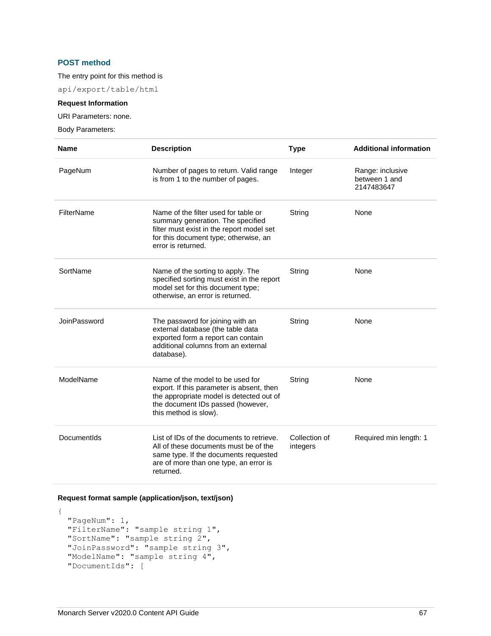## **POST method**

## The entry point for this method is

api/export/table/html

## **Request Information**

URI Parameters: none.

Body Parameters:

| <b>Name</b>  | <b>Description</b>                                                                                                                                                                      | <b>Type</b>               | <b>Additional information</b>                   |
|--------------|-----------------------------------------------------------------------------------------------------------------------------------------------------------------------------------------|---------------------------|-------------------------------------------------|
| PageNum      | Number of pages to return. Valid range<br>is from 1 to the number of pages.                                                                                                             | Integer                   | Range: inclusive<br>between 1 and<br>2147483647 |
| FilterName   | Name of the filter used for table or<br>summary generation. The specified<br>filter must exist in the report model set<br>for this document type; otherwise, an<br>error is returned.   | String                    | None                                            |
| SortName     | Name of the sorting to apply. The<br>specified sorting must exist in the report<br>model set for this document type;<br>otherwise, an error is returned.                                | String                    | None                                            |
| JoinPassword | The password for joining with an<br>external database (the table data<br>exported form a report can contain<br>additional columns from an external<br>database).                        | String                    | None                                            |
| ModelName    | Name of the model to be used for<br>export. If this parameter is absent, then<br>the appropriate model is detected out of<br>the document IDs passed (however,<br>this method is slow). | String                    | None                                            |
| DocumentIds  | List of IDs of the documents to retrieve.<br>All of these documents must be of the<br>same type. If the documents requested<br>are of more than one type, an error is<br>returned.      | Collection of<br>integers | Required min length: 1                          |

## **Request format sample (application/json, text/json)**

```
{
  "PageNum": 1,
 "FilterName": "sample string 1",
 "SortName": "sample string 2",
  "JoinPassword": "sample string 3",
  "ModelName": "sample string 4",
  "DocumentIds": [
```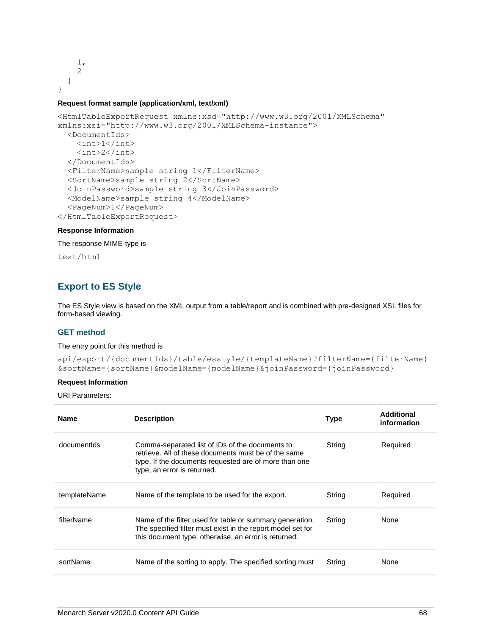```
 1,
        2
    ]
}
```
#### **Request format sample (application/xml, text/xml)**

```
<HtmlTableExportRequest xmlns:xsd="http://www.w3.org/2001/XMLSchema" 
xmlns:xsi="http://www.w3.org/2001/XMLSchema-instance">
   <DocumentIds>
    <int>1</int>
     <int>2</int>
   </DocumentIds>
   <FilterName>sample string 1</FilterName>
   <SortName>sample string 2</SortName>
   <JoinPassword>sample string 3</JoinPassword>
   <ModelName>sample string 4</ModelName>
   <PageNum>1</PageNum>
</HtmlTableExportRequest>
```
#### **Response Information**

The response MIME-type is

text/html

# **Export to ES Style**

The ES Style view is based on the XML output from a table/report and is combined with pre-designed XSL files for form-based viewing.

#### **GET method**

#### The entry point for this method is

```
api/export/{documentIds}/table/esstyle/{templateName}?filterName={filterName}
&sortName={sortName}&modelName={modelName}&joinPassword={joinPassword}
```
#### **Request Information**

URI Parameters:

| <b>Name</b>  | <b>Description</b>                                                                                                                                                                              | <b>Type</b> | Additional<br>information |
|--------------|-------------------------------------------------------------------------------------------------------------------------------------------------------------------------------------------------|-------------|---------------------------|
| documentids  | Comma-separated list of IDs of the documents to<br>retrieve. All of these documents must be of the same<br>type. If the documents requested are of more than one<br>type, an error is returned. | String      | Required                  |
| templateName | Name of the template to be used for the export.                                                                                                                                                 | String      | Required                  |
| filterName   | Name of the filter used for table or summary generation.<br>The specified filter must exist in the report model set for<br>this document type; otherwise, an error is returned.                 | String      | <b>None</b>               |
| sortName     | Name of the sorting to apply. The specified sorting must                                                                                                                                        | String      | None                      |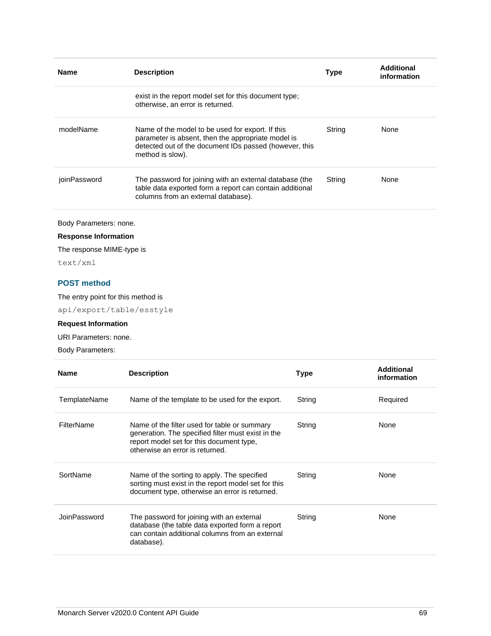| <b>Name</b>  | <b>Description</b>                                                                                                                                                                   | <b>Type</b> | Additional<br>information |
|--------------|--------------------------------------------------------------------------------------------------------------------------------------------------------------------------------------|-------------|---------------------------|
|              | exist in the report model set for this document type;<br>otherwise, an error is returned.                                                                                            |             |                           |
| modelName    | Name of the model to be used for export. If this<br>parameter is absent, then the appropriate model is<br>detected out of the document IDs passed (however, this<br>method is slow). | String      | None                      |
| joinPassword | The password for joining with an external database (the<br>table data exported form a report can contain additional<br>columns from an external database).                           | String      | None                      |

Body Parameters: none.

## **Response Information**

The response MIME-type is

text/xml

## **POST method**

The entry point for this method is

api/export/table/esstyle

# **Request Information**

URI Parameters: none.

Body Parameters:

| <b>Name</b>  | <b>Description</b>                                                                                                                                                                | <b>Type</b> | Additional<br>information |
|--------------|-----------------------------------------------------------------------------------------------------------------------------------------------------------------------------------|-------------|---------------------------|
| TemplateName | Name of the template to be used for the export.                                                                                                                                   | String      | Required                  |
| FilterName   | Name of the filter used for table or summary<br>generation. The specified filter must exist in the<br>report model set for this document type,<br>otherwise an error is returned. | String      | None                      |
| SortName     | Name of the sorting to apply. The specified<br>sorting must exist in the report model set for this<br>document type, otherwise an error is returned.                              | String      | None                      |
| JoinPassword | The password for joining with an external<br>database (the table data exported form a report<br>can contain additional columns from an external<br>database).                     | String      | None                      |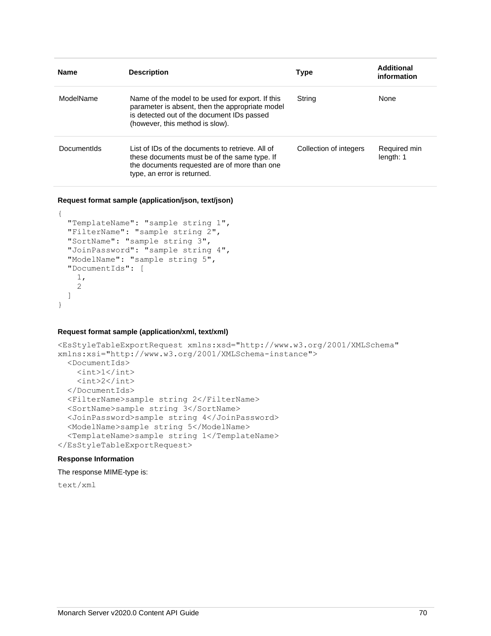| <b>Name</b> | <b>Description</b>                                                                                                                                                                   | <b>Type</b>            | Additional<br>information |
|-------------|--------------------------------------------------------------------------------------------------------------------------------------------------------------------------------------|------------------------|---------------------------|
| ModelName   | Name of the model to be used for export. If this<br>parameter is absent, then the appropriate model<br>is detected out of the document IDs passed<br>(however, this method is slow). | String                 | None                      |
| DocumentIds | List of IDs of the documents to retrieve. All of<br>these documents must be of the same type. If<br>the documents requested are of more than one<br>type, an error is returned.      | Collection of integers | Required min<br>length: 1 |

**Request format sample (application/json, text/json)**

```
{
  "TemplateName": "sample string 1",
  "FilterName": "sample string 2",
  "SortName": "sample string 3",
  "JoinPassword": "sample string 4",
  "ModelName": "sample string 5",
  "DocumentIds": [
     1,
     2
  ]
}
```
## **Request format sample (application/xml, text/xml)**

```
<EsStyleTableExportRequest xmlns:xsd="http://www.w3.org/2001/XMLSchema" 
xmlns:xsi="http://www.w3.org/2001/XMLSchema-instance">
   <DocumentIds>
    \langle \text{int}>1 \langle \text{int}\rangle\langle \text{int} \rangle2\langle \text{int} \rangle </DocumentIds>
   <FilterName>sample string 2</FilterName>
   <SortName>sample string 3</SortName>
   <JoinPassword>sample string 4</JoinPassword>
   <ModelName>sample string 5</ModelName>
   <TemplateName>sample string 1</TemplateName>
</EsStyleTableExportRequest>
```
## **Response Information**

The response MIME-type is:

text/xml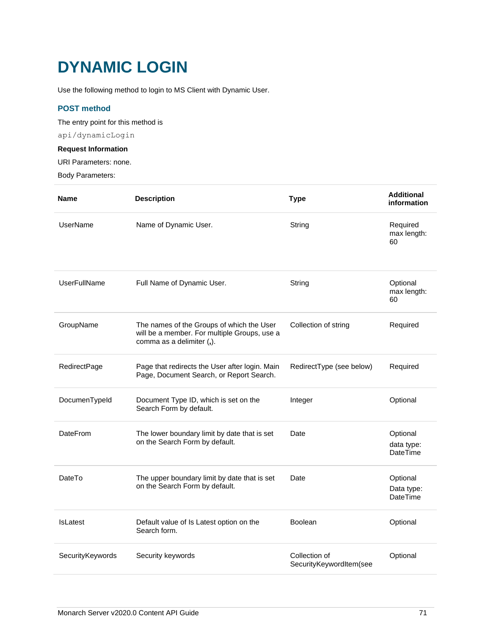# **DYNAMIC LOGIN**

Use the following method to login to MS Client with Dynamic User.

## **POST method**

The entry point for this method is

api/dynamicLogin

## **Request Information**

URI Parameters: none.

Body Parameters:

| <b>Name</b>         | <b>Description</b>                                                                                                     | <b>Type</b>                              | <b>Additional</b><br>information          |
|---------------------|------------------------------------------------------------------------------------------------------------------------|------------------------------------------|-------------------------------------------|
| <b>UserName</b>     | Name of Dynamic User.                                                                                                  | String                                   | Required<br>max length:<br>60             |
| <b>UserFullName</b> | Full Name of Dynamic User.                                                                                             | String                                   | Optional<br>max length:<br>60             |
| GroupName           | The names of the Groups of which the User<br>will be a member. For multiple Groups, use a<br>comma as a delimiter (,). | Collection of string                     | Required                                  |
| RedirectPage        | Page that redirects the User after login. Main<br>Page, Document Search, or Report Search.                             | RedirectType (see below)                 | Required                                  |
| DocumenTypeId       | Document Type ID, which is set on the<br>Search Form by default.                                                       | Integer                                  | Optional                                  |
| <b>DateFrom</b>     | The lower boundary limit by date that is set<br>on the Search Form by default.                                         | Date                                     | Optional<br>data type:<br>DateTime        |
| DateTo              | The upper boundary limit by date that is set<br>on the Search Form by default.                                         | Date                                     | Optional<br>Data type:<br><b>DateTime</b> |
| <b>IsLatest</b>     | Default value of Is Latest option on the<br>Search form.                                                               | Boolean                                  | Optional                                  |
| SecurityKeywords    | Security keywords                                                                                                      | Collection of<br>SecurityKeywordItem(see | Optional                                  |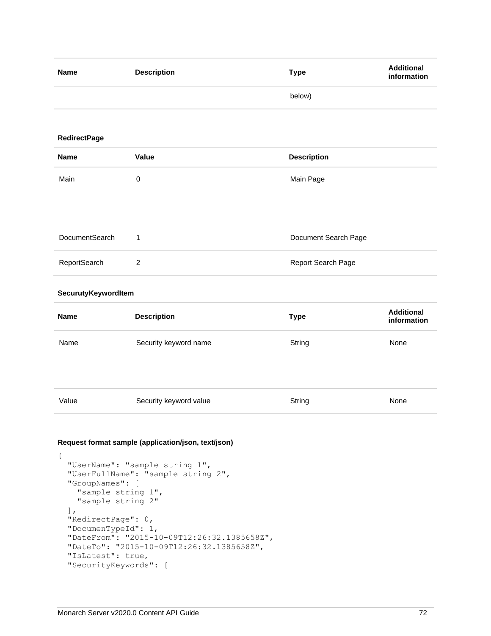| <b>Name</b>         | <b>Description</b>    | <b>Type</b>          | <b>Additional</b><br>information |
|---------------------|-----------------------|----------------------|----------------------------------|
|                     |                       | below)               |                                  |
|                     |                       |                      |                                  |
| <b>RedirectPage</b> |                       |                      |                                  |
| <b>Name</b>         | Value                 | <b>Description</b>   |                                  |
| Main                | $\pmb{0}$             | Main Page            |                                  |
|                     |                       |                      |                                  |
|                     |                       |                      |                                  |
| DocumentSearch      | 1                     | Document Search Page |                                  |
| ReportSearch        | $\overline{c}$        | Report Search Page   |                                  |
| SecurutyKeywordItem |                       |                      |                                  |
| <b>Name</b>         | <b>Description</b>    | <b>Type</b>          | <b>Additional</b><br>information |
| Name                | Security keyword name | String               | None                             |

| Value | Security keyword value | String | None |
|-------|------------------------|--------|------|

### **Request format sample (application/json, text/json)**

```
{
  "UserName": "sample string 1",
  "UserFullName": "sample string 2",
  "GroupNames": [
    "sample string 1",
     "sample string 2"
 \frac{1}{\sqrt{2}} "RedirectPage": 0,
  "DocumenTypeId": 1,
  "DateFrom": "2015-10-09T12:26:32.1385658Z",
  "DateTo": "2015-10-09T12:26:32.1385658Z",
  "IsLatest": true,
  "SecurityKeywords": [
```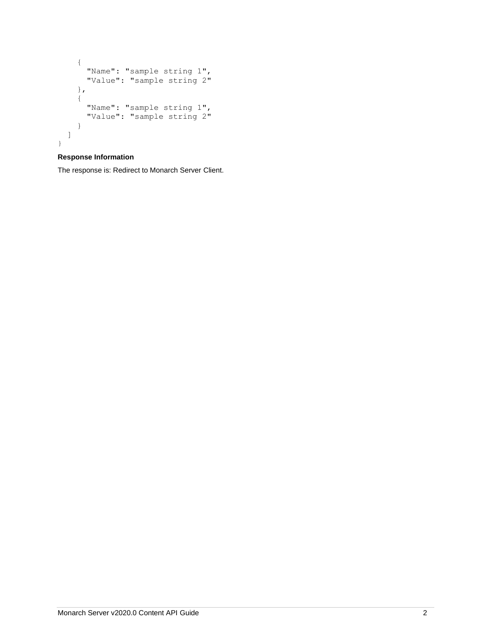```
 {
"Name": "sample string 1",
 "Value": "sample string 2"
    },
   \{"Name": "sample string 1",
 "Value": "sample string 2"
    }
  ]
}
```
## **Response Information**

The response is: Redirect to Monarch Server Client.